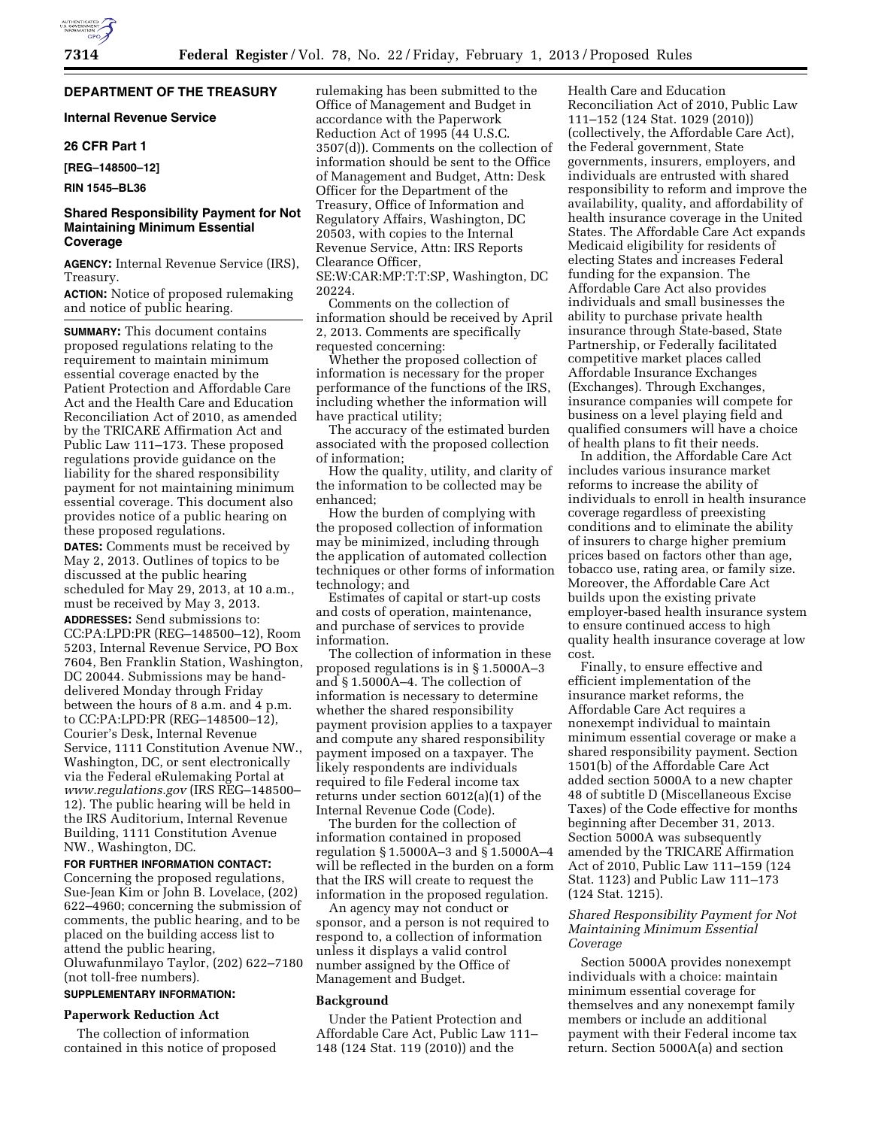## **DEPARTMENT OF THE TREASURY**

## **Internal Revenue Service**

### **26 CFR Part 1**

**[REG–148500–12]** 

**RIN 1545–BL36** 

### **Shared Responsibility Payment for Not Maintaining Minimum Essential Coverage**

**AGENCY:** Internal Revenue Service (IRS), Treasury.

**ACTION:** Notice of proposed rulemaking and notice of public hearing.

**SUMMARY:** This document contains proposed regulations relating to the requirement to maintain minimum essential coverage enacted by the Patient Protection and Affordable Care Act and the Health Care and Education Reconciliation Act of 2010, as amended by the TRICARE Affirmation Act and Public Law 111–173. These proposed regulations provide guidance on the liability for the shared responsibility payment for not maintaining minimum essential coverage. This document also provides notice of a public hearing on these proposed regulations.

**DATES:** Comments must be received by May 2, 2013. Outlines of topics to be discussed at the public hearing scheduled for May 29, 2013, at 10 a.m., must be received by May 3, 2013.

**ADDRESSES:** Send submissions to: CC:PA:LPD:PR (REG–148500–12), Room 5203, Internal Revenue Service, PO Box 7604, Ben Franklin Station, Washington, DC 20044. Submissions may be handdelivered Monday through Friday between the hours of 8 a.m. and 4 p.m. to CC:PA:LPD:PR (REG–148500–12), Courier's Desk, Internal Revenue Service, 1111 Constitution Avenue NW., Washington, DC, or sent electronically via the Federal eRulemaking Portal at *[www.regulations.gov](http://www.regulations.gov)* (IRS REG–148500– 12). The public hearing will be held in the IRS Auditorium, Internal Revenue Building, 1111 Constitution Avenue NW., Washington, DC.

### **FOR FURTHER INFORMATION CONTACT:**

Concerning the proposed regulations, Sue-Jean Kim or John B. Lovelace, (202) 622–4960; concerning the submission of comments, the public hearing, and to be placed on the building access list to attend the public hearing, Oluwafunmilayo Taylor, (202) 622–7180 (not toll-free numbers).

# **SUPPLEMENTARY INFORMATION:**

### **Paperwork Reduction Act**

The collection of information contained in this notice of proposed rulemaking has been submitted to the Office of Management and Budget in accordance with the Paperwork Reduction Act of 1995 (44 U.S.C. 3507(d)). Comments on the collection of information should be sent to the Office of Management and Budget, Attn: Desk Officer for the Department of the Treasury, Office of Information and Regulatory Affairs, Washington, DC 20503, with copies to the Internal Revenue Service, Attn: IRS Reports Clearance Officer,

SE:W:CAR:MP:T:T:SP, Washington, DC 20224.

Comments on the collection of information should be received by April 2, 2013. Comments are specifically requested concerning:

Whether the proposed collection of information is necessary for the proper performance of the functions of the IRS, including whether the information will have practical utility;

The accuracy of the estimated burden associated with the proposed collection of information;

How the quality, utility, and clarity of the information to be collected may be enhanced;

How the burden of complying with the proposed collection of information may be minimized, including through the application of automated collection techniques or other forms of information technology; and

Estimates of capital or start-up costs and costs of operation, maintenance, and purchase of services to provide information.

The collection of information in these proposed regulations is in § 1.5000A–3 and § 1.5000A–4. The collection of information is necessary to determine whether the shared responsibility payment provision applies to a taxpayer and compute any shared responsibility payment imposed on a taxpayer. The likely respondents are individuals required to file Federal income tax returns under section 6012(a)(1) of the Internal Revenue Code (Code).

The burden for the collection of information contained in proposed regulation § 1.5000A–3 and § 1.5000A–4 will be reflected in the burden on a form that the IRS will create to request the information in the proposed regulation.

An agency may not conduct or sponsor, and a person is not required to respond to, a collection of information unless it displays a valid control number assigned by the Office of Management and Budget.

## **Background**

Under the Patient Protection and Affordable Care Act, Public Law 111– 148 (124 Stat. 119 (2010)) and the

Health Care and Education Reconciliation Act of 2010, Public Law 111–152 (124 Stat. 1029 (2010)) (collectively, the Affordable Care Act), the Federal government, State governments, insurers, employers, and individuals are entrusted with shared responsibility to reform and improve the availability, quality, and affordability of health insurance coverage in the United States. The Affordable Care Act expands Medicaid eligibility for residents of electing States and increases Federal funding for the expansion. The Affordable Care Act also provides individuals and small businesses the ability to purchase private health insurance through State-based, State Partnership, or Federally facilitated competitive market places called Affordable Insurance Exchanges (Exchanges). Through Exchanges, insurance companies will compete for business on a level playing field and qualified consumers will have a choice of health plans to fit their needs.

In addition, the Affordable Care Act includes various insurance market reforms to increase the ability of individuals to enroll in health insurance coverage regardless of preexisting conditions and to eliminate the ability of insurers to charge higher premium prices based on factors other than age, tobacco use, rating area, or family size. Moreover, the Affordable Care Act builds upon the existing private employer-based health insurance system to ensure continued access to high quality health insurance coverage at low cost.

Finally, to ensure effective and efficient implementation of the insurance market reforms, the Affordable Care Act requires a nonexempt individual to maintain minimum essential coverage or make a shared responsibility payment. Section 1501(b) of the Affordable Care Act added section 5000A to a new chapter 48 of subtitle D (Miscellaneous Excise Taxes) of the Code effective for months beginning after December 31, 2013. Section 5000A was subsequently amended by the TRICARE Affirmation Act of 2010, Public Law 111–159 (124 Stat. 1123) and Public Law 111–173 (124 Stat. 1215).

### *Shared Responsibility Payment for Not Maintaining Minimum Essential Coverage*

Section 5000A provides nonexempt individuals with a choice: maintain minimum essential coverage for themselves and any nonexempt family members or include an additional payment with their Federal income tax return. Section 5000A(a) and section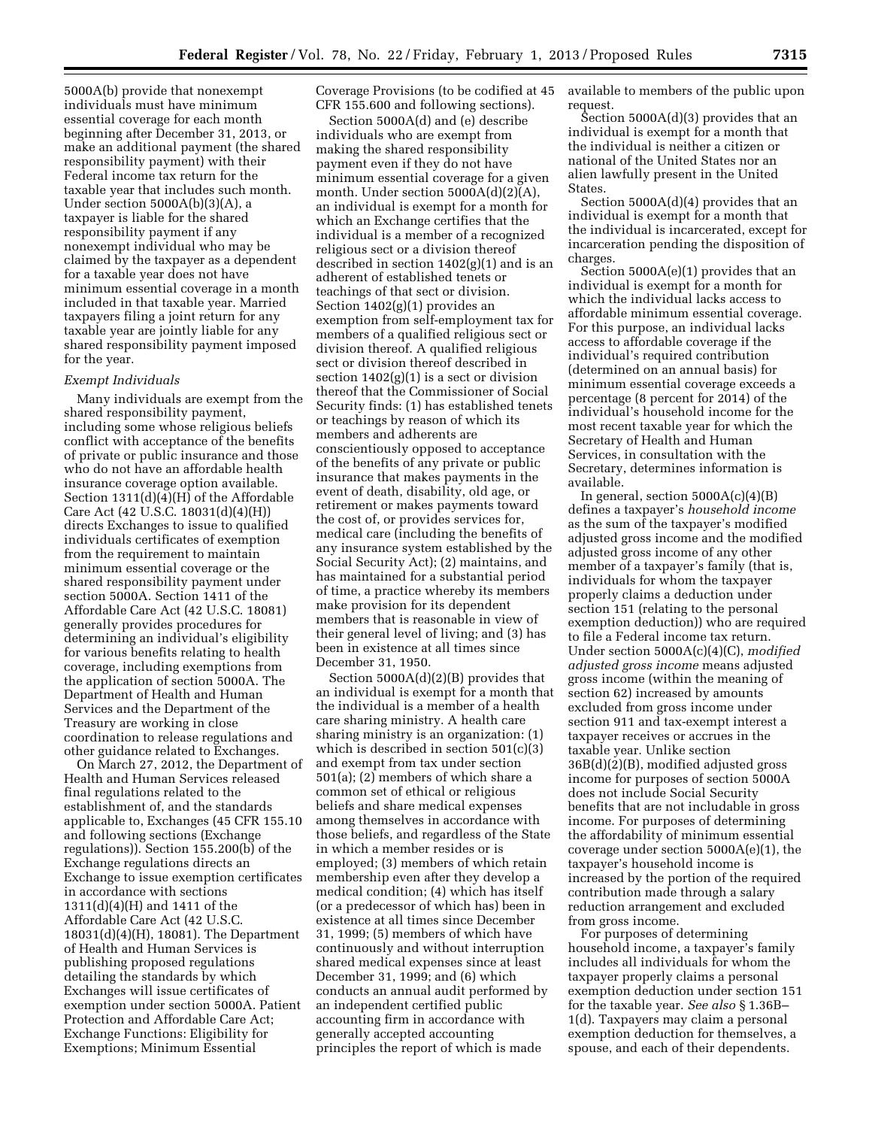5000A(b) provide that nonexempt individuals must have minimum essential coverage for each month beginning after December 31, 2013, or make an additional payment (the shared responsibility payment) with their Federal income tax return for the taxable year that includes such month. Under section 5000A(b)(3)(A), a taxpayer is liable for the shared responsibility payment if any nonexempt individual who may be claimed by the taxpayer as a dependent for a taxable year does not have minimum essential coverage in a month included in that taxable year. Married taxpayers filing a joint return for any taxable year are jointly liable for any shared responsibility payment imposed for the year.

### *Exempt Individuals*

Many individuals are exempt from the shared responsibility payment, including some whose religious beliefs conflict with acceptance of the benefits of private or public insurance and those who do not have an affordable health insurance coverage option available. Section 1311(d)(4)(H) of the Affordable Care Act (42 U.S.C. 18031(d)(4)(H)) directs Exchanges to issue to qualified individuals certificates of exemption from the requirement to maintain minimum essential coverage or the shared responsibility payment under section 5000A. Section 1411 of the Affordable Care Act (42 U.S.C. 18081) generally provides procedures for determining an individual's eligibility for various benefits relating to health coverage, including exemptions from the application of section 5000A. The Department of Health and Human Services and the Department of the Treasury are working in close coordination to release regulations and other guidance related to Exchanges.

On March 27, 2012, the Department of Health and Human Services released final regulations related to the establishment of, and the standards applicable to, Exchanges (45 CFR 155.10 and following sections (Exchange regulations)). Section 155.200(b) of the Exchange regulations directs an Exchange to issue exemption certificates in accordance with sections 1311(d)(4)(H) and 1411 of the Affordable Care Act (42 U.S.C. 18031(d)(4)(H), 18081). The Department of Health and Human Services is publishing proposed regulations detailing the standards by which Exchanges will issue certificates of exemption under section 5000A. Patient Protection and Affordable Care Act; Exchange Functions: Eligibility for Exemptions; Minimum Essential

Coverage Provisions (to be codified at 45 CFR 155.600 and following sections).

Section 5000A(d) and (e) describe individuals who are exempt from making the shared responsibility payment even if they do not have minimum essential coverage for a given month. Under section 5000A(d)(2)(A), an individual is exempt for a month for which an Exchange certifies that the individual is a member of a recognized religious sect or a division thereof described in section 1402(g)(1) and is an adherent of established tenets or teachings of that sect or division. Section 1402(g)(1) provides an exemption from self-employment tax for members of a qualified religious sect or division thereof. A qualified religious sect or division thereof described in section  $1402(g)(1)$  is a sect or division thereof that the Commissioner of Social Security finds: (1) has established tenets or teachings by reason of which its members and adherents are conscientiously opposed to acceptance of the benefits of any private or public insurance that makes payments in the event of death, disability, old age, or retirement or makes payments toward the cost of, or provides services for, medical care (including the benefits of any insurance system established by the Social Security Act); (2) maintains, and has maintained for a substantial period of time, a practice whereby its members make provision for its dependent members that is reasonable in view of their general level of living; and (3) has been in existence at all times since December 31, 1950.

Section 5000A(d)(2)(B) provides that an individual is exempt for a month that the individual is a member of a health care sharing ministry. A health care sharing ministry is an organization: (1) which is described in section 501(c)(3) and exempt from tax under section 501(a); (2) members of which share a common set of ethical or religious beliefs and share medical expenses among themselves in accordance with those beliefs, and regardless of the State in which a member resides or is employed; (3) members of which retain membership even after they develop a medical condition; (4) which has itself (or a predecessor of which has) been in existence at all times since December 31, 1999; (5) members of which have continuously and without interruption shared medical expenses since at least December 31, 1999; and (6) which conducts an annual audit performed by an independent certified public accounting firm in accordance with generally accepted accounting principles the report of which is made

available to members of the public upon request.

Section 5000A(d)(3) provides that an individual is exempt for a month that the individual is neither a citizen or national of the United States nor an alien lawfully present in the United States.

Section 5000A(d)(4) provides that an individual is exempt for a month that the individual is incarcerated, except for incarceration pending the disposition of charges.

Section 5000A(e)(1) provides that an individual is exempt for a month for which the individual lacks access to affordable minimum essential coverage. For this purpose, an individual lacks access to affordable coverage if the individual's required contribution (determined on an annual basis) for minimum essential coverage exceeds a percentage (8 percent for 2014) of the individual's household income for the most recent taxable year for which the Secretary of Health and Human Services, in consultation with the Secretary, determines information is available.

In general, section  $5000A(c)(4)(B)$ defines a taxpayer's *household income*  as the sum of the taxpayer's modified adjusted gross income and the modified adjusted gross income of any other member of a taxpayer's family (that is, individuals for whom the taxpayer properly claims a deduction under section 151 (relating to the personal exemption deduction)) who are required to file a Federal income tax return. Under section 5000A(c)(4)(C), *modified adjusted gross income* means adjusted gross income (within the meaning of section 62) increased by amounts excluded from gross income under section 911 and tax-exempt interest a taxpayer receives or accrues in the taxable year. Unlike section 36B(d)(2)(B), modified adjusted gross income for purposes of section 5000A does not include Social Security benefits that are not includable in gross income. For purposes of determining the affordability of minimum essential coverage under section 5000A(e)(1), the taxpayer's household income is increased by the portion of the required contribution made through a salary reduction arrangement and excluded from gross income.

For purposes of determining household income, a taxpayer's family includes all individuals for whom the taxpayer properly claims a personal exemption deduction under section 151 for the taxable year. *See also* § 1.36B– 1(d). Taxpayers may claim a personal exemption deduction for themselves, a spouse, and each of their dependents.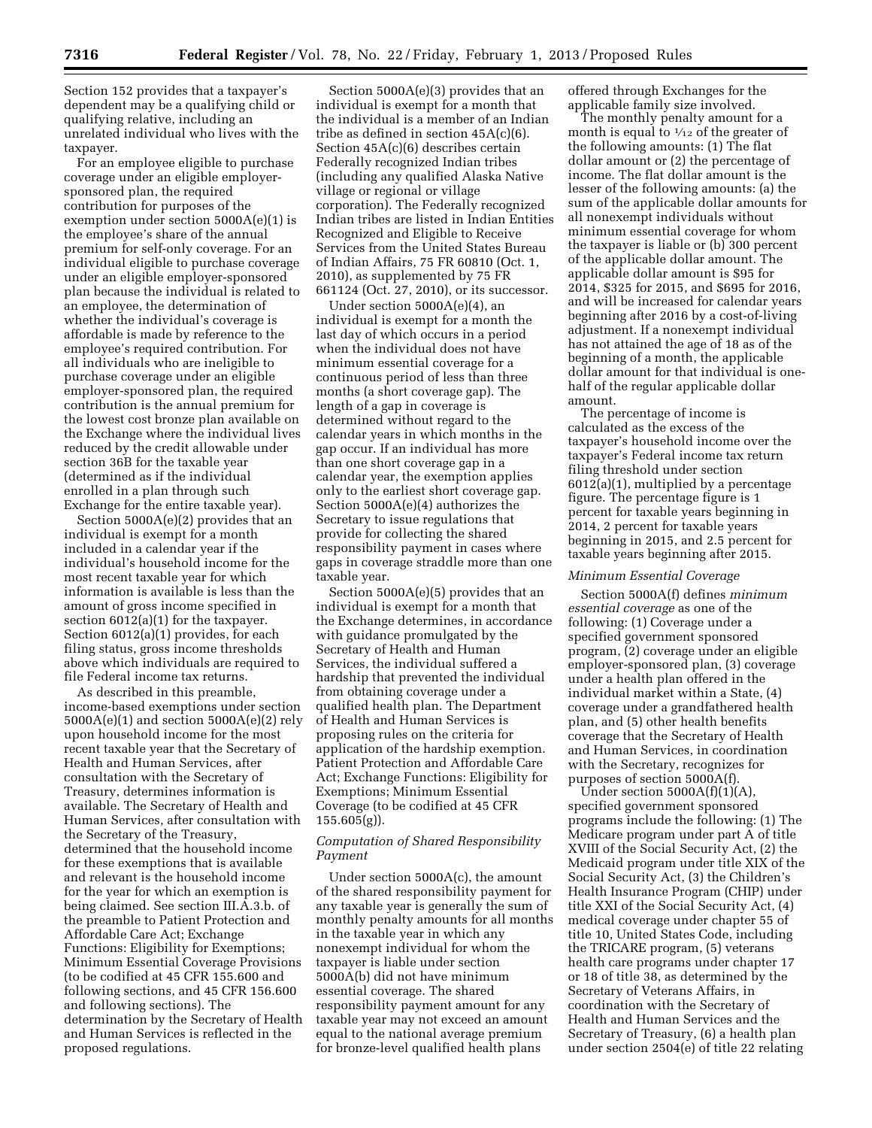Section 152 provides that a taxpayer's dependent may be a qualifying child or qualifying relative, including an unrelated individual who lives with the taxpayer.

For an employee eligible to purchase coverage under an eligible employersponsored plan, the required contribution for purposes of the exemption under section 5000A(e)(1) is the employee's share of the annual premium for self-only coverage. For an individual eligible to purchase coverage under an eligible employer-sponsored plan because the individual is related to an employee, the determination of whether the individual's coverage is affordable is made by reference to the employee's required contribution. For all individuals who are ineligible to purchase coverage under an eligible employer-sponsored plan, the required contribution is the annual premium for the lowest cost bronze plan available on the Exchange where the individual lives reduced by the credit allowable under section 36B for the taxable year (determined as if the individual enrolled in a plan through such Exchange for the entire taxable year).

Section 5000A(e)(2) provides that an individual is exempt for a month included in a calendar year if the individual's household income for the most recent taxable year for which information is available is less than the amount of gross income specified in section 6012(a)(1) for the taxpayer. Section 6012(a)(1) provides, for each filing status, gross income thresholds above which individuals are required to file Federal income tax returns.

As described in this preamble, income-based exemptions under section 5000A(e)(1) and section 5000A(e)(2) rely upon household income for the most recent taxable year that the Secretary of Health and Human Services, after consultation with the Secretary of Treasury, determines information is available. The Secretary of Health and Human Services, after consultation with the Secretary of the Treasury, determined that the household income for these exemptions that is available and relevant is the household income for the year for which an exemption is being claimed. See section III.A.3.b. of the preamble to Patient Protection and Affordable Care Act; Exchange Functions: Eligibility for Exemptions; Minimum Essential Coverage Provisions (to be codified at 45 CFR 155.600 and following sections, and 45 CFR 156.600 and following sections). The determination by the Secretary of Health and Human Services is reflected in the proposed regulations.

Section 5000A(e)(3) provides that an individual is exempt for a month that the individual is a member of an Indian tribe as defined in section 45A(c)(6). Section 45A(c)(6) describes certain Federally recognized Indian tribes (including any qualified Alaska Native village or regional or village corporation). The Federally recognized Indian tribes are listed in Indian Entities Recognized and Eligible to Receive Services from the United States Bureau of Indian Affairs, 75 FR 60810 (Oct. 1, 2010), as supplemented by 75 FR 661124 (Oct. 27, 2010), or its successor.

Under section 5000A(e)(4), an individual is exempt for a month the last day of which occurs in a period when the individual does not have minimum essential coverage for a continuous period of less than three months (a short coverage gap). The length of a gap in coverage is determined without regard to the calendar years in which months in the gap occur. If an individual has more than one short coverage gap in a calendar year, the exemption applies only to the earliest short coverage gap. Section 5000A(e)(4) authorizes the Secretary to issue regulations that provide for collecting the shared responsibility payment in cases where gaps in coverage straddle more than one taxable year.

Section 5000A(e)(5) provides that an individual is exempt for a month that the Exchange determines, in accordance with guidance promulgated by the Secretary of Health and Human Services, the individual suffered a hardship that prevented the individual from obtaining coverage under a qualified health plan. The Department of Health and Human Services is proposing rules on the criteria for application of the hardship exemption. Patient Protection and Affordable Care Act; Exchange Functions: Eligibility for Exemptions; Minimum Essential Coverage (to be codified at 45 CFR 155.605(g)).

### *Computation of Shared Responsibility Payment*

Under section 5000A(c), the amount of the shared responsibility payment for any taxable year is generally the sum of monthly penalty amounts for all months in the taxable year in which any nonexempt individual for whom the taxpayer is liable under section 5000A(b) did not have minimum essential coverage. The shared responsibility payment amount for any taxable year may not exceed an amount equal to the national average premium for bronze-level qualified health plans

offered through Exchanges for the applicable family size involved.

The monthly penalty amount for a month is equal to  $\frac{1}{12}$  of the greater of the following amounts: (1) The flat dollar amount or (2) the percentage of income. The flat dollar amount is the lesser of the following amounts: (a) the sum of the applicable dollar amounts for all nonexempt individuals without minimum essential coverage for whom the taxpayer is liable or (b) 300 percent of the applicable dollar amount. The applicable dollar amount is \$95 for 2014, \$325 for 2015, and \$695 for 2016, and will be increased for calendar years beginning after 2016 by a cost-of-living adjustment. If a nonexempt individual has not attained the age of 18 as of the beginning of a month, the applicable dollar amount for that individual is onehalf of the regular applicable dollar amount.

The percentage of income is calculated as the excess of the taxpayer's household income over the taxpayer's Federal income tax return filing threshold under section 6012(a)(1), multiplied by a percentage figure. The percentage figure is 1 percent for taxable years beginning in 2014, 2 percent for taxable years beginning in 2015, and 2.5 percent for taxable years beginning after 2015.

## *Minimum Essential Coverage*

Section 5000A(f) defines *minimum essential coverage* as one of the following: (1) Coverage under a specified government sponsored program, (2) coverage under an eligible employer-sponsored plan, (3) coverage under a health plan offered in the individual market within a State, (4) coverage under a grandfathered health plan, and (5) other health benefits coverage that the Secretary of Health and Human Services, in coordination with the Secretary, recognizes for purposes of section 5000A(f).

Under section  $5000A(f)(1)(A)$ , specified government sponsored programs include the following: (1) The Medicare program under part A of title XVIII of the Social Security Act, (2) the Medicaid program under title XIX of the Social Security Act, (3) the Children's Health Insurance Program (CHIP) under title XXI of the Social Security Act, (4) medical coverage under chapter 55 of title 10, United States Code, including the TRICARE program, (5) veterans health care programs under chapter 17 or 18 of title 38, as determined by the Secretary of Veterans Affairs, in coordination with the Secretary of Health and Human Services and the Secretary of Treasury, (6) a health plan under section 2504(e) of title 22 relating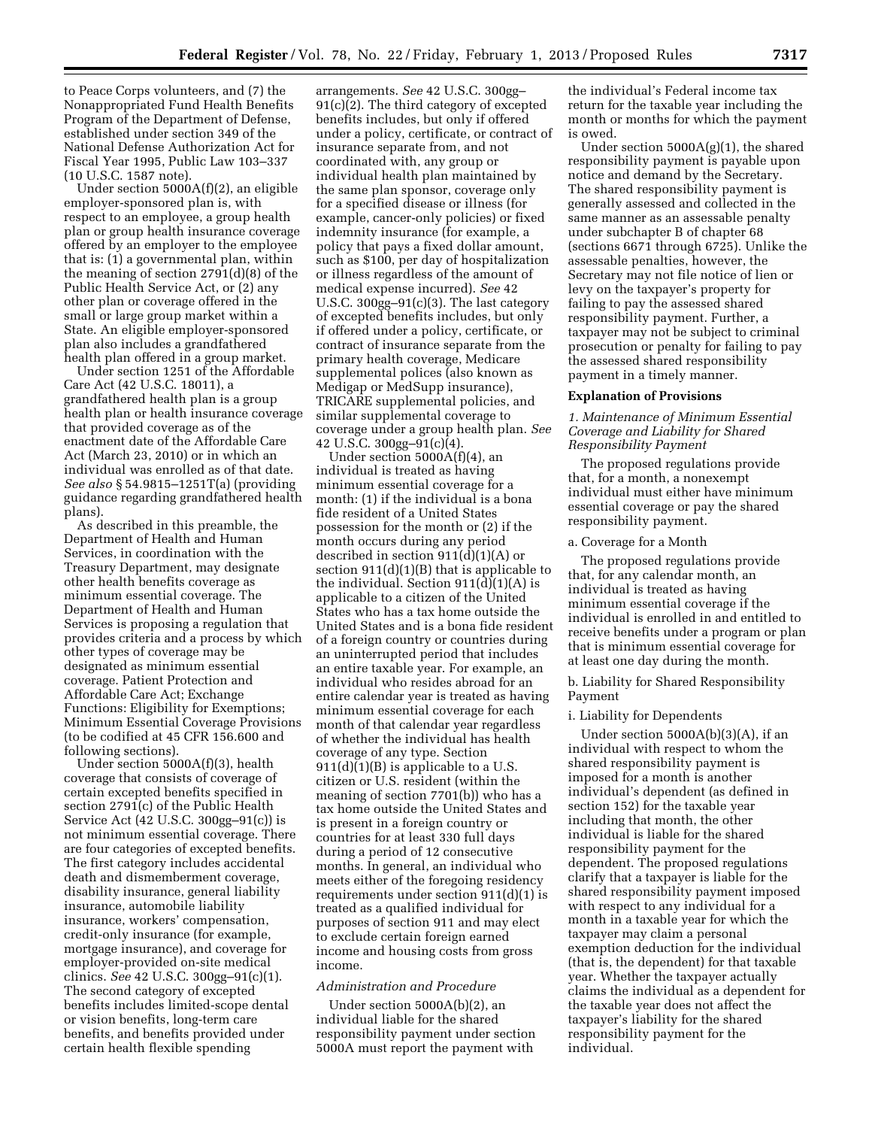to Peace Corps volunteers, and (7) the Nonappropriated Fund Health Benefits Program of the Department of Defense, established under section 349 of the National Defense Authorization Act for Fiscal Year 1995, Public Law 103–337 (10 U.S.C. 1587 note).

Under section 5000A(f)(2), an eligible employer-sponsored plan is, with respect to an employee, a group health plan or group health insurance coverage offered by an employer to the employee that is: (1) a governmental plan, within the meaning of section 2791(d)(8) of the Public Health Service Act, or (2) any other plan or coverage offered in the small or large group market within a State. An eligible employer-sponsored plan also includes a grandfathered health plan offered in a group market.

Under section 1251 of the Affordable Care Act (42 U.S.C. 18011), a grandfathered health plan is a group health plan or health insurance coverage that provided coverage as of the enactment date of the Affordable Care Act (March 23, 2010) or in which an individual was enrolled as of that date. *See also* § 54.9815–1251T(a) (providing guidance regarding grandfathered health plans).

As described in this preamble, the Department of Health and Human Services, in coordination with the Treasury Department, may designate other health benefits coverage as minimum essential coverage. The Department of Health and Human Services is proposing a regulation that provides criteria and a process by which other types of coverage may be designated as minimum essential coverage. Patient Protection and Affordable Care Act; Exchange Functions: Eligibility for Exemptions; Minimum Essential Coverage Provisions (to be codified at 45 CFR 156.600 and following sections).

Under section 5000A(f)(3), health coverage that consists of coverage of certain excepted benefits specified in section 2791(c) of the Public Health Service Act (42 U.S.C. 300gg–91(c)) is not minimum essential coverage. There are four categories of excepted benefits. The first category includes accidental death and dismemberment coverage, disability insurance, general liability insurance, automobile liability insurance, workers' compensation, credit-only insurance (for example, mortgage insurance), and coverage for employer-provided on-site medical clinics. *See* 42 U.S.C. 300gg–91(c)(1). The second category of excepted benefits includes limited-scope dental or vision benefits, long-term care benefits, and benefits provided under certain health flexible spending

arrangements. *See* 42 U.S.C. 300gg–  $91(c)(2)$ . The third category of excepted benefits includes, but only if offered under a policy, certificate, or contract of insurance separate from, and not coordinated with, any group or individual health plan maintained by the same plan sponsor, coverage only for a specified disease or illness (for example, cancer-only policies) or fixed indemnity insurance (for example, a policy that pays a fixed dollar amount, such as \$100, per day of hospitalization or illness regardless of the amount of medical expense incurred). *See* 42 U.S.C. 300gg–91(c)(3). The last category of excepted benefits includes, but only if offered under a policy, certificate, or contract of insurance separate from the primary health coverage, Medicare supplemental polices (also known as Medigap or MedSupp insurance), TRICARE supplemental policies, and similar supplemental coverage to coverage under a group health plan. *See*  42 U.S.C. 300gg–91(c)(4).

Under section 5000A(f)(4), an individual is treated as having minimum essential coverage for a month: (1) if the individual is a bona fide resident of a United States possession for the month or (2) if the month occurs during any period described in section  $911(d)(1)(A)$  or section  $911(d)(1)(B)$  that is applicable to the individual. Section  $911(d)(1)(A)$  is applicable to a citizen of the United States who has a tax home outside the United States and is a bona fide resident of a foreign country or countries during an uninterrupted period that includes an entire taxable year. For example, an individual who resides abroad for an entire calendar year is treated as having minimum essential coverage for each month of that calendar year regardless of whether the individual has health coverage of any type. Section  $911(d)(1)(B)$  is applicable to a U.S. citizen or U.S. resident (within the meaning of section 7701(b)) who has a tax home outside the United States and is present in a foreign country or countries for at least 330 full days during a period of 12 consecutive months. In general, an individual who meets either of the foregoing residency requirements under section 911(d)(1) is treated as a qualified individual for purposes of section 911 and may elect to exclude certain foreign earned income and housing costs from gross income.

### *Administration and Procedure*

Under section 5000A(b)(2), an individual liable for the shared responsibility payment under section 5000A must report the payment with

the individual's Federal income tax return for the taxable year including the month or months for which the payment is owed.

Under section 5000A(g)(1), the shared responsibility payment is payable upon notice and demand by the Secretary. The shared responsibility payment is generally assessed and collected in the same manner as an assessable penalty under subchapter B of chapter 68 (sections 6671 through 6725). Unlike the assessable penalties, however, the Secretary may not file notice of lien or levy on the taxpayer's property for failing to pay the assessed shared responsibility payment. Further, a taxpayer may not be subject to criminal prosecution or penalty for failing to pay the assessed shared responsibility payment in a timely manner.

### **Explanation of Provisions**

*1. Maintenance of Minimum Essential Coverage and Liability for Shared Responsibility Payment* 

The proposed regulations provide that, for a month, a nonexempt individual must either have minimum essential coverage or pay the shared responsibility payment.

#### a. Coverage for a Month

The proposed regulations provide that, for any calendar month, an individual is treated as having minimum essential coverage if the individual is enrolled in and entitled to receive benefits under a program or plan that is minimum essential coverage for at least one day during the month.

b. Liability for Shared Responsibility Payment

#### i. Liability for Dependents

Under section 5000A(b)(3)(A), if an individual with respect to whom the shared responsibility payment is imposed for a month is another individual's dependent (as defined in section 152) for the taxable year including that month, the other individual is liable for the shared responsibility payment for the dependent. The proposed regulations clarify that a taxpayer is liable for the shared responsibility payment imposed with respect to any individual for a month in a taxable year for which the taxpayer may claim a personal exemption deduction for the individual (that is, the dependent) for that taxable year. Whether the taxpayer actually claims the individual as a dependent for the taxable year does not affect the taxpayer's liability for the shared responsibility payment for the individual.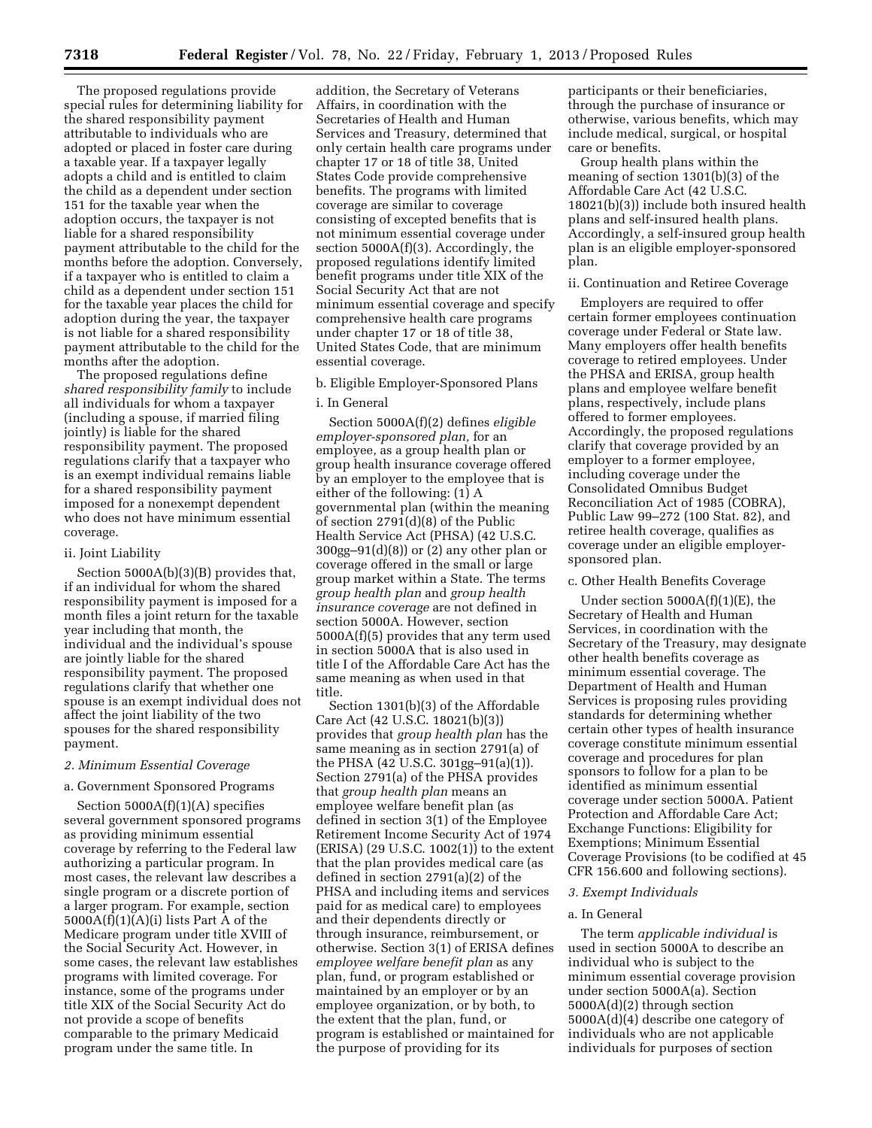The proposed regulations provide special rules for determining liability for the shared responsibility payment attributable to individuals who are adopted or placed in foster care during a taxable year. If a taxpayer legally adopts a child and is entitled to claim the child as a dependent under section 151 for the taxable year when the adoption occurs, the taxpayer is not liable for a shared responsibility payment attributable to the child for the months before the adoption. Conversely, if a taxpayer who is entitled to claim a child as a dependent under section 151 for the taxable year places the child for adoption during the year, the taxpayer is not liable for a shared responsibility payment attributable to the child for the months after the adoption.

The proposed regulations define *shared responsibility family* to include all individuals for whom a taxpayer (including a spouse, if married filing jointly) is liable for the shared responsibility payment. The proposed regulations clarify that a taxpayer who is an exempt individual remains liable for a shared responsibility payment imposed for a nonexempt dependent who does not have minimum essential coverage.

### ii. Joint Liability

Section 5000A(b)(3)(B) provides that, if an individual for whom the shared responsibility payment is imposed for a month files a joint return for the taxable year including that month, the individual and the individual's spouse are jointly liable for the shared responsibility payment. The proposed regulations clarify that whether one spouse is an exempt individual does not affect the joint liability of the two spouses for the shared responsibility payment.

### *2. Minimum Essential Coverage*

### a. Government Sponsored Programs

Section  $5000A(f)(1)(A)$  specifies several government sponsored programs as providing minimum essential coverage by referring to the Federal law authorizing a particular program. In most cases, the relevant law describes a single program or a discrete portion of a larger program. For example, section  $5000A(f)(1)(A)(i)$  lists Part A of the Medicare program under title XVIII of the Social Security Act. However, in some cases, the relevant law establishes programs with limited coverage. For instance, some of the programs under title XIX of the Social Security Act do not provide a scope of benefits comparable to the primary Medicaid program under the same title. In

addition, the Secretary of Veterans Affairs, in coordination with the Secretaries of Health and Human Services and Treasury, determined that only certain health care programs under chapter 17 or 18 of title 38, United States Code provide comprehensive benefits. The programs with limited coverage are similar to coverage consisting of excepted benefits that is not minimum essential coverage under section 5000A(f)(3). Accordingly, the proposed regulations identify limited benefit programs under title XIX of the Social Security Act that are not minimum essential coverage and specify comprehensive health care programs under chapter 17 or 18 of title 38, United States Code, that are minimum essential coverage.

### b. Eligible Employer-Sponsored Plans

### i. In General

Section 5000A(f)(2) defines *eligible employer-sponsored plan,* for an employee, as a group health plan or group health insurance coverage offered by an employer to the employee that is either of the following: (1) A governmental plan (within the meaning of section 2791(d)(8) of the Public Health Service Act (PHSA) (42 U.S.C. 300gg–91(d)(8)) or (2) any other plan or coverage offered in the small or large group market within a State. The terms *group health plan* and *group health insurance coverage* are not defined in section 5000A. However, section 5000A(f)(5) provides that any term used in section 5000A that is also used in title I of the Affordable Care Act has the same meaning as when used in that title.

Section 1301(b)(3) of the Affordable Care Act (42 U.S.C. 18021(b)(3)) provides that *group health plan* has the same meaning as in section 2791(a) of the PHSA (42 U.S.C. 301gg–91(a)(1)). Section 2791(a) of the PHSA provides that *group health plan* means an employee welfare benefit plan (as defined in section 3(1) of the Employee Retirement Income Security Act of 1974 (ERISA) (29 U.S.C. 1002(1)) to the extent that the plan provides medical care (as defined in section 2791(a)(2) of the PHSA and including items and services paid for as medical care) to employees and their dependents directly or through insurance, reimbursement, or otherwise. Section 3(1) of ERISA defines *employee welfare benefit plan* as any plan, fund, or program established or maintained by an employer or by an employee organization, or by both, to the extent that the plan, fund, or program is established or maintained for the purpose of providing for its

participants or their beneficiaries, through the purchase of insurance or otherwise, various benefits, which may include medical, surgical, or hospital care or benefits.

Group health plans within the meaning of section 1301(b)(3) of the Affordable Care Act (42 U.S.C. 18021(b)(3)) include both insured health plans and self-insured health plans. Accordingly, a self-insured group health plan is an eligible employer-sponsored plan.

### ii. Continuation and Retiree Coverage

Employers are required to offer certain former employees continuation coverage under Federal or State law. Many employers offer health benefits coverage to retired employees. Under the PHSA and ERISA, group health plans and employee welfare benefit plans, respectively, include plans offered to former employees. Accordingly, the proposed regulations clarify that coverage provided by an employer to a former employee, including coverage under the Consolidated Omnibus Budget Reconciliation Act of 1985 (COBRA), Public Law 99–272 (100 Stat. 82), and retiree health coverage, qualifies as coverage under an eligible employersponsored plan.

### c. Other Health Benefits Coverage

Under section  $5000A(f)(1)(E)$ , the Secretary of Health and Human Services, in coordination with the Secretary of the Treasury, may designate other health benefits coverage as minimum essential coverage. The Department of Health and Human Services is proposing rules providing standards for determining whether certain other types of health insurance coverage constitute minimum essential coverage and procedures for plan sponsors to follow for a plan to be identified as minimum essential coverage under section 5000A. Patient Protection and Affordable Care Act; Exchange Functions: Eligibility for Exemptions; Minimum Essential Coverage Provisions (to be codified at 45 CFR 156.600 and following sections).

#### *3. Exempt Individuals*

### a. In General

The term *applicable individual* is used in section 5000A to describe an individual who is subject to the minimum essential coverage provision under section 5000A(a). Section 5000A(d)(2) through section 5000A(d)(4) describe one category of individuals who are not applicable individuals for purposes of section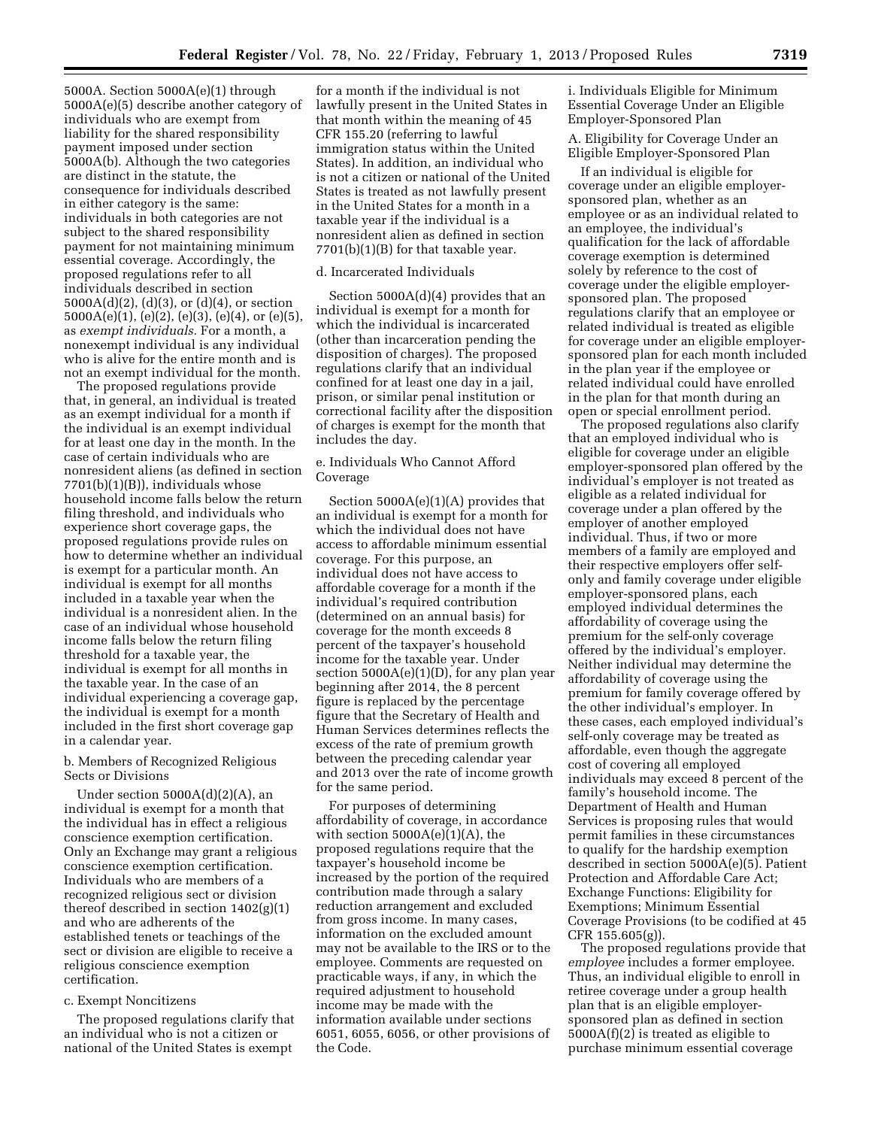5000A. Section 5000A(e)(1) through 5000A(e)(5) describe another category of individuals who are exempt from liability for the shared responsibility payment imposed under section 5000A(b). Although the two categories are distinct in the statute, the consequence for individuals described in either category is the same: individuals in both categories are not subject to the shared responsibility payment for not maintaining minimum essential coverage. Accordingly, the proposed regulations refer to all individuals described in section 5000A(d)(2), (d)(3), or (d)(4), or section 5000A(e)(1), (e)(2), (e)(3), (e)(4), or (e)(5), as *exempt individuals.* For a month, a nonexempt individual is any individual who is alive for the entire month and is not an exempt individual for the month.

The proposed regulations provide that, in general, an individual is treated as an exempt individual for a month if the individual is an exempt individual for at least one day in the month. In the case of certain individuals who are nonresident aliens (as defined in section  $7701(b)(1)(B)$ , individuals whose household income falls below the return filing threshold, and individuals who experience short coverage gaps, the proposed regulations provide rules on how to determine whether an individual is exempt for a particular month. An individual is exempt for all months included in a taxable year when the individual is a nonresident alien. In the case of an individual whose household income falls below the return filing threshold for a taxable year, the individual is exempt for all months in the taxable year. In the case of an individual experiencing a coverage gap, the individual is exempt for a month included in the first short coverage gap in a calendar year.

### b. Members of Recognized Religious Sects or Divisions

Under section 5000A(d)(2)(A), an individual is exempt for a month that the individual has in effect a religious conscience exemption certification. Only an Exchange may grant a religious conscience exemption certification. Individuals who are members of a recognized religious sect or division thereof described in section 1402(g)(1) and who are adherents of the established tenets or teachings of the sect or division are eligible to receive a religious conscience exemption certification.

### c. Exempt Noncitizens

The proposed regulations clarify that an individual who is not a citizen or national of the United States is exempt

for a month if the individual is not lawfully present in the United States in that month within the meaning of 45 CFR 155.20 (referring to lawful immigration status within the United States). In addition, an individual who is not a citizen or national of the United States is treated as not lawfully present in the United States for a month in a taxable year if the individual is a nonresident alien as defined in section 7701(b)(1)(B) for that taxable year.

### d. Incarcerated Individuals

Section 5000A(d)(4) provides that an individual is exempt for a month for which the individual is incarcerated (other than incarceration pending the disposition of charges). The proposed regulations clarify that an individual confined for at least one day in a jail, prison, or similar penal institution or correctional facility after the disposition of charges is exempt for the month that includes the day.

## e. Individuals Who Cannot Afford Coverage

Section 5000A(e)(1)(A) provides that an individual is exempt for a month for which the individual does not have access to affordable minimum essential coverage. For this purpose, an individual does not have access to affordable coverage for a month if the individual's required contribution (determined on an annual basis) for coverage for the month exceeds 8 percent of the taxpayer's household income for the taxable year. Under section  $5000A(e)(1)(D)$ , for any plan year beginning after 2014, the 8 percent figure is replaced by the percentage figure that the Secretary of Health and Human Services determines reflects the excess of the rate of premium growth between the preceding calendar year and 2013 over the rate of income growth for the same period.

For purposes of determining affordability of coverage, in accordance with section  $5000A(e)(1)(A)$ , the proposed regulations require that the taxpayer's household income be increased by the portion of the required contribution made through a salary reduction arrangement and excluded from gross income. In many cases, information on the excluded amount may not be available to the IRS or to the employee. Comments are requested on practicable ways, if any, in which the required adjustment to household income may be made with the information available under sections 6051, 6055, 6056, or other provisions of the Code.

i. Individuals Eligible for Minimum Essential Coverage Under an Eligible Employer-Sponsored Plan

A. Eligibility for Coverage Under an Eligible Employer-Sponsored Plan

If an individual is eligible for coverage under an eligible employersponsored plan, whether as an employee or as an individual related to an employee, the individual's qualification for the lack of affordable coverage exemption is determined solely by reference to the cost of coverage under the eligible employersponsored plan. The proposed regulations clarify that an employee or related individual is treated as eligible for coverage under an eligible employersponsored plan for each month included in the plan year if the employee or related individual could have enrolled in the plan for that month during an open or special enrollment period.

The proposed regulations also clarify that an employed individual who is eligible for coverage under an eligible employer-sponsored plan offered by the individual's employer is not treated as eligible as a related individual for coverage under a plan offered by the employer of another employed individual. Thus, if two or more members of a family are employed and their respective employers offer selfonly and family coverage under eligible employer-sponsored plans, each employed individual determines the affordability of coverage using the premium for the self-only coverage offered by the individual's employer. Neither individual may determine the affordability of coverage using the premium for family coverage offered by the other individual's employer. In these cases, each employed individual's self-only coverage may be treated as affordable, even though the aggregate cost of covering all employed individuals may exceed 8 percent of the family's household income. The Department of Health and Human Services is proposing rules that would permit families in these circumstances to qualify for the hardship exemption described in section 5000A(e)(5). Patient Protection and Affordable Care Act; Exchange Functions: Eligibility for Exemptions; Minimum Essential Coverage Provisions (to be codified at 45 CFR 155.605(g)).

The proposed regulations provide that *employee* includes a former employee. Thus, an individual eligible to enroll in retiree coverage under a group health plan that is an eligible employersponsored plan as defined in section 5000A(f)(2) is treated as eligible to purchase minimum essential coverage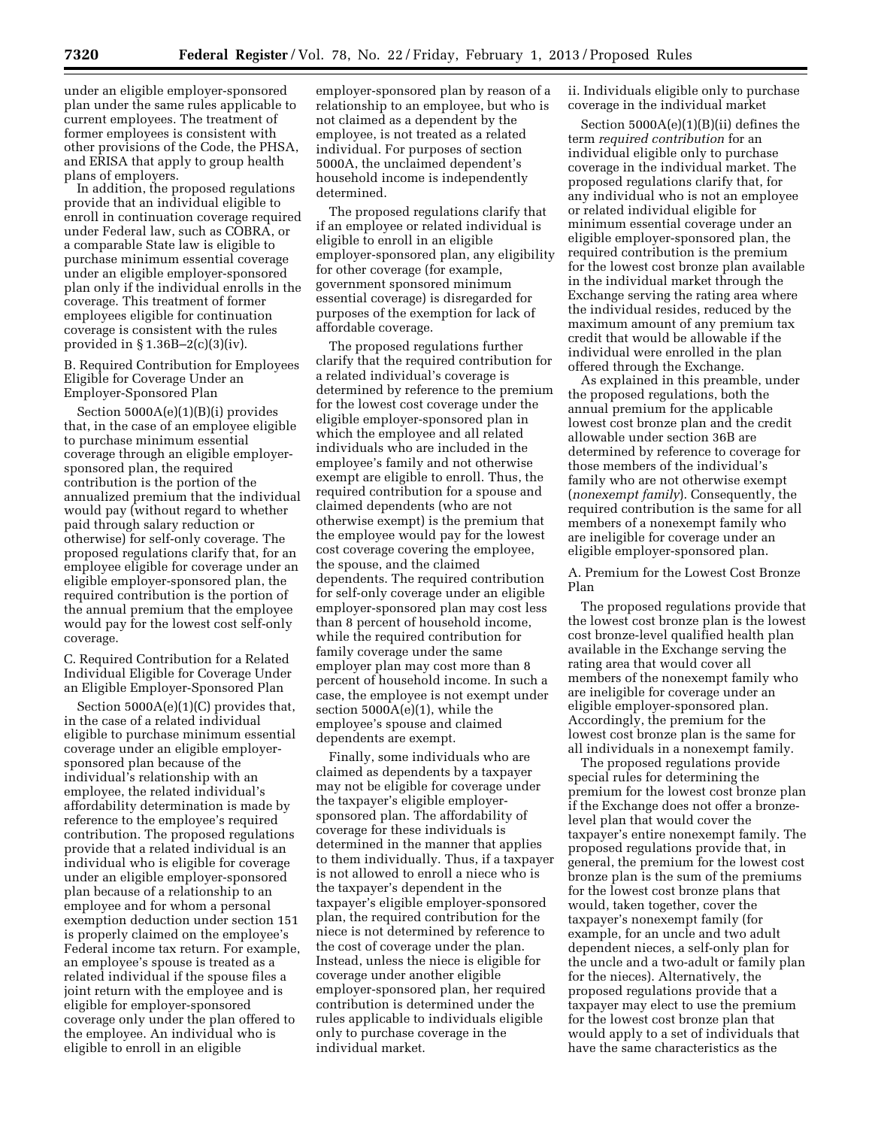under an eligible employer-sponsored plan under the same rules applicable to current employees. The treatment of former employees is consistent with other provisions of the Code, the PHSA, and ERISA that apply to group health plans of employers.

In addition, the proposed regulations provide that an individual eligible to enroll in continuation coverage required under Federal law, such as COBRA, or a comparable State law is eligible to purchase minimum essential coverage under an eligible employer-sponsored plan only if the individual enrolls in the coverage. This treatment of former employees eligible for continuation coverage is consistent with the rules provided in § 1.36B–2(c)(3)(iv).

B. Required Contribution for Employees Eligible for Coverage Under an Employer-Sponsored Plan

Section 5000A(e)(1)(B)(i) provides that, in the case of an employee eligible to purchase minimum essential coverage through an eligible employersponsored plan, the required contribution is the portion of the annualized premium that the individual would pay (without regard to whether paid through salary reduction or otherwise) for self-only coverage. The proposed regulations clarify that, for an employee eligible for coverage under an eligible employer-sponsored plan, the required contribution is the portion of the annual premium that the employee would pay for the lowest cost self-only coverage.

C. Required Contribution for a Related Individual Eligible for Coverage Under an Eligible Employer-Sponsored Plan

Section 5000A(e)(1)(C) provides that, in the case of a related individual eligible to purchase minimum essential coverage under an eligible employersponsored plan because of the individual's relationship with an employee, the related individual's affordability determination is made by reference to the employee's required contribution. The proposed regulations provide that a related individual is an individual who is eligible for coverage under an eligible employer-sponsored plan because of a relationship to an employee and for whom a personal exemption deduction under section 151 is properly claimed on the employee's Federal income tax return. For example, an employee's spouse is treated as a related individual if the spouse files a joint return with the employee and is eligible for employer-sponsored coverage only under the plan offered to the employee. An individual who is eligible to enroll in an eligible

employer-sponsored plan by reason of a relationship to an employee, but who is not claimed as a dependent by the employee, is not treated as a related individual. For purposes of section 5000A, the unclaimed dependent's household income is independently determined.

The proposed regulations clarify that if an employee or related individual is eligible to enroll in an eligible employer-sponsored plan, any eligibility for other coverage (for example, government sponsored minimum essential coverage) is disregarded for purposes of the exemption for lack of affordable coverage.

The proposed regulations further clarify that the required contribution for a related individual's coverage is determined by reference to the premium for the lowest cost coverage under the eligible employer-sponsored plan in which the employee and all related individuals who are included in the employee's family and not otherwise exempt are eligible to enroll. Thus, the required contribution for a spouse and claimed dependents (who are not otherwise exempt) is the premium that the employee would pay for the lowest cost coverage covering the employee, the spouse, and the claimed dependents. The required contribution for self-only coverage under an eligible employer-sponsored plan may cost less than 8 percent of household income, while the required contribution for family coverage under the same employer plan may cost more than 8 percent of household income. In such a case, the employee is not exempt under section 5000A(e)(1), while the employee's spouse and claimed dependents are exempt.

Finally, some individuals who are claimed as dependents by a taxpayer may not be eligible for coverage under the taxpayer's eligible employersponsored plan. The affordability of coverage for these individuals is determined in the manner that applies to them individually. Thus, if a taxpayer is not allowed to enroll a niece who is the taxpayer's dependent in the taxpayer's eligible employer-sponsored plan, the required contribution for the niece is not determined by reference to the cost of coverage under the plan. Instead, unless the niece is eligible for coverage under another eligible employer-sponsored plan, her required contribution is determined under the rules applicable to individuals eligible only to purchase coverage in the individual market.

ii. Individuals eligible only to purchase coverage in the individual market

Section 5000A(e)(1)(B)(ii) defines the term *required contribution* for an individual eligible only to purchase coverage in the individual market. The proposed regulations clarify that, for any individual who is not an employee or related individual eligible for minimum essential coverage under an eligible employer-sponsored plan, the required contribution is the premium for the lowest cost bronze plan available in the individual market through the Exchange serving the rating area where the individual resides, reduced by the maximum amount of any premium tax credit that would be allowable if the individual were enrolled in the plan offered through the Exchange.

As explained in this preamble, under the proposed regulations, both the annual premium for the applicable lowest cost bronze plan and the credit allowable under section 36B are determined by reference to coverage for those members of the individual's family who are not otherwise exempt (*nonexempt family*). Consequently, the required contribution is the same for all members of a nonexempt family who are ineligible for coverage under an eligible employer-sponsored plan.

## A. Premium for the Lowest Cost Bronze Plan

The proposed regulations provide that the lowest cost bronze plan is the lowest cost bronze-level qualified health plan available in the Exchange serving the rating area that would cover all members of the nonexempt family who are ineligible for coverage under an eligible employer-sponsored plan. Accordingly, the premium for the lowest cost bronze plan is the same for all individuals in a nonexempt family.

The proposed regulations provide special rules for determining the premium for the lowest cost bronze plan if the Exchange does not offer a bronzelevel plan that would cover the taxpayer's entire nonexempt family. The proposed regulations provide that, in general, the premium for the lowest cost bronze plan is the sum of the premiums for the lowest cost bronze plans that would, taken together, cover the taxpayer's nonexempt family (for example, for an uncle and two adult dependent nieces, a self-only plan for the uncle and a two-adult or family plan for the nieces). Alternatively, the proposed regulations provide that a taxpayer may elect to use the premium for the lowest cost bronze plan that would apply to a set of individuals that have the same characteristics as the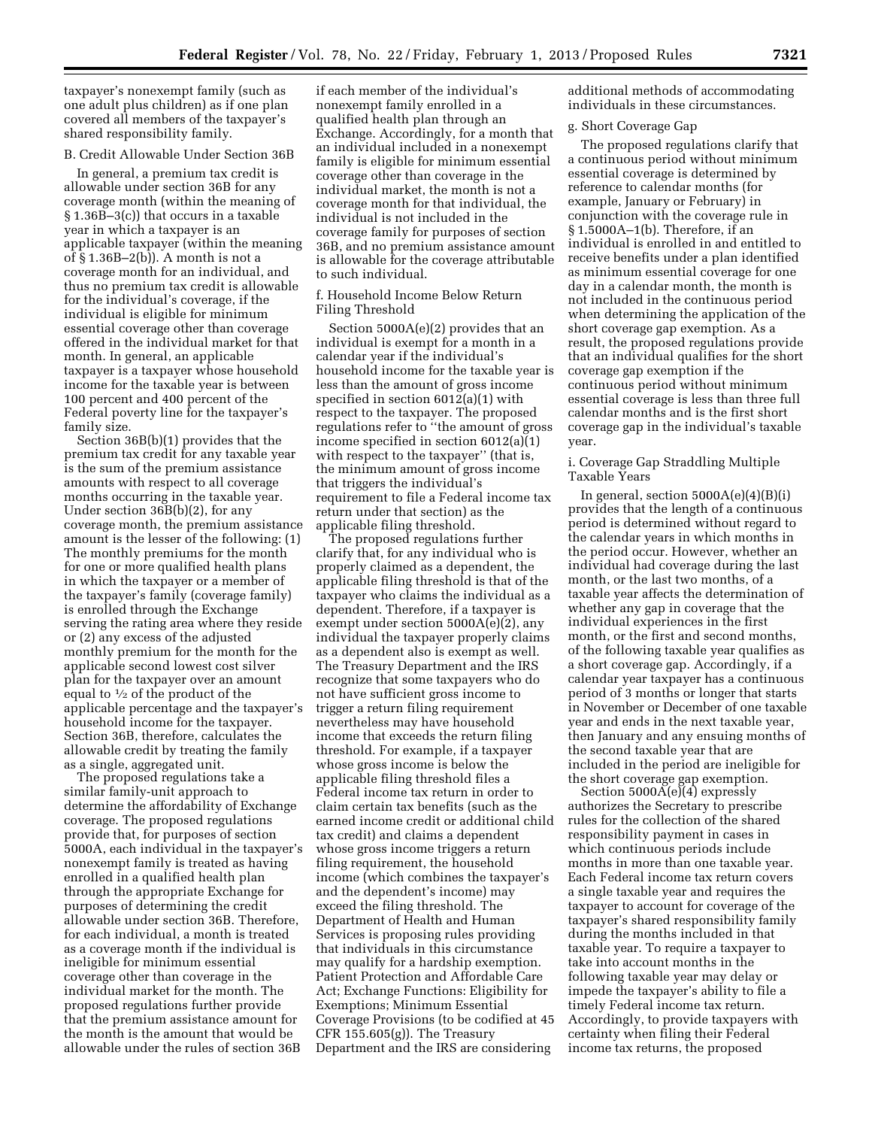taxpayer's nonexempt family (such as one adult plus children) as if one plan covered all members of the taxpayer's shared responsibility family.

#### B. Credit Allowable Under Section 36B

In general, a premium tax credit is allowable under section 36B for any coverage month (within the meaning of § 1.36B–3(c)) that occurs in a taxable year in which a taxpayer is an applicable taxpayer (within the meaning of § 1.36B–2(b)). A month is not a coverage month for an individual, and thus no premium tax credit is allowable for the individual's coverage, if the individual is eligible for minimum essential coverage other than coverage offered in the individual market for that month. In general, an applicable taxpayer is a taxpayer whose household income for the taxable year is between 100 percent and 400 percent of the Federal poverty line for the taxpayer's family size.

Section 36B(b)(1) provides that the premium tax credit for any taxable year is the sum of the premium assistance amounts with respect to all coverage months occurring in the taxable year. Under section 36B(b)(2), for any coverage month, the premium assistance amount is the lesser of the following: (1) The monthly premiums for the month for one or more qualified health plans in which the taxpayer or a member of the taxpayer's family (coverage family) is enrolled through the Exchange serving the rating area where they reside or (2) any excess of the adjusted monthly premium for the month for the applicable second lowest cost silver plan for the taxpayer over an amount equal to  $\frac{1}{2}$  of the product of the applicable percentage and the taxpayer's household income for the taxpayer. Section 36B, therefore, calculates the allowable credit by treating the family as a single, aggregated unit.

The proposed regulations take a similar family-unit approach to determine the affordability of Exchange coverage. The proposed regulations provide that, for purposes of section 5000A, each individual in the taxpayer's nonexempt family is treated as having enrolled in a qualified health plan through the appropriate Exchange for purposes of determining the credit allowable under section 36B. Therefore, for each individual, a month is treated as a coverage month if the individual is ineligible for minimum essential coverage other than coverage in the individual market for the month. The proposed regulations further provide that the premium assistance amount for the month is the amount that would be allowable under the rules of section 36B

if each member of the individual's nonexempt family enrolled in a qualified health plan through an Exchange. Accordingly, for a month that an individual included in a nonexempt family is eligible for minimum essential coverage other than coverage in the individual market, the month is not a coverage month for that individual, the individual is not included in the coverage family for purposes of section 36B, and no premium assistance amount is allowable for the coverage attributable to such individual.

### f. Household Income Below Return Filing Threshold

Section 5000A(e)(2) provides that an individual is exempt for a month in a calendar year if the individual's household income for the taxable year is less than the amount of gross income specified in section 6012(a)(1) with respect to the taxpayer. The proposed regulations refer to ''the amount of gross income specified in section 6012(a)(1) with respect to the taxpayer" (that is, the minimum amount of gross income that triggers the individual's requirement to file a Federal income tax return under that section) as the applicable filing threshold.

The proposed regulations further clarify that, for any individual who is properly claimed as a dependent, the applicable filing threshold is that of the taxpayer who claims the individual as a dependent. Therefore, if a taxpayer is exempt under section 5000A(e)(2), any individual the taxpayer properly claims as a dependent also is exempt as well. The Treasury Department and the IRS recognize that some taxpayers who do not have sufficient gross income to trigger a return filing requirement nevertheless may have household income that exceeds the return filing threshold. For example, if a taxpayer whose gross income is below the applicable filing threshold files a Federal income tax return in order to claim certain tax benefits (such as the earned income credit or additional child tax credit) and claims a dependent whose gross income triggers a return filing requirement, the household income (which combines the taxpayer's and the dependent's income) may exceed the filing threshold. The Department of Health and Human Services is proposing rules providing that individuals in this circumstance may qualify for a hardship exemption. Patient Protection and Affordable Care Act; Exchange Functions: Eligibility for Exemptions; Minimum Essential Coverage Provisions (to be codified at 45 CFR 155.605(g)). The Treasury Department and the IRS are considering

additional methods of accommodating individuals in these circumstances.

#### g. Short Coverage Gap

The proposed regulations clarify that a continuous period without minimum essential coverage is determined by reference to calendar months (for example, January or February) in conjunction with the coverage rule in § 1.5000A–1(b). Therefore, if an individual is enrolled in and entitled to receive benefits under a plan identified as minimum essential coverage for one day in a calendar month, the month is not included in the continuous period when determining the application of the short coverage gap exemption. As a result, the proposed regulations provide that an individual qualifies for the short coverage gap exemption if the continuous period without minimum essential coverage is less than three full calendar months and is the first short coverage gap in the individual's taxable year.

### i. Coverage Gap Straddling Multiple Taxable Years

In general, section  $5000A(e)(4)(B)(i)$ provides that the length of a continuous period is determined without regard to the calendar years in which months in the period occur. However, whether an individual had coverage during the last month, or the last two months, of a taxable year affects the determination of whether any gap in coverage that the individual experiences in the first month, or the first and second months, of the following taxable year qualifies as a short coverage gap. Accordingly, if a calendar year taxpayer has a continuous period of 3 months or longer that starts in November or December of one taxable year and ends in the next taxable year, then January and any ensuing months of the second taxable year that are included in the period are ineligible for the short coverage gap exemption.

Section 5000A(e)(4) expressly authorizes the Secretary to prescribe rules for the collection of the shared responsibility payment in cases in which continuous periods include months in more than one taxable year. Each Federal income tax return covers a single taxable year and requires the taxpayer to account for coverage of the taxpayer's shared responsibility family during the months included in that taxable year. To require a taxpayer to take into account months in the following taxable year may delay or impede the taxpayer's ability to file a timely Federal income tax return. Accordingly, to provide taxpayers with certainty when filing their Federal income tax returns, the proposed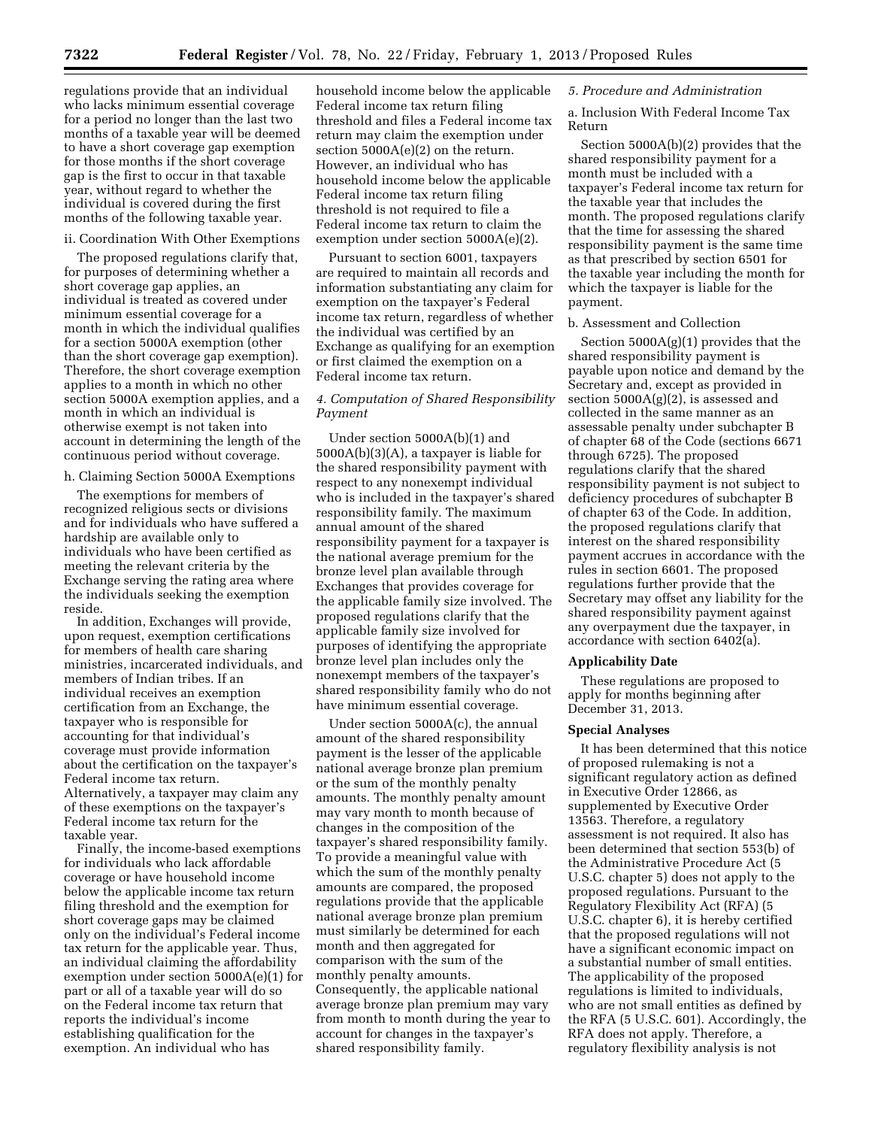regulations provide that an individual who lacks minimum essential coverage for a period no longer than the last two months of a taxable year will be deemed to have a short coverage gap exemption for those months if the short coverage gap is the first to occur in that taxable year, without regard to whether the individual is covered during the first months of the following taxable year.

#### ii. Coordination With Other Exemptions

The proposed regulations clarify that, for purposes of determining whether a short coverage gap applies, an individual is treated as covered under minimum essential coverage for a month in which the individual qualifies for a section 5000A exemption (other than the short coverage gap exemption). Therefore, the short coverage exemption applies to a month in which no other section 5000A exemption applies, and a month in which an individual is otherwise exempt is not taken into account in determining the length of the continuous period without coverage.

h. Claiming Section 5000A Exemptions

The exemptions for members of recognized religious sects or divisions and for individuals who have suffered a hardship are available only to individuals who have been certified as meeting the relevant criteria by the Exchange serving the rating area where the individuals seeking the exemption reside.

In addition, Exchanges will provide, upon request, exemption certifications for members of health care sharing ministries, incarcerated individuals, and members of Indian tribes. If an individual receives an exemption certification from an Exchange, the taxpayer who is responsible for accounting for that individual's coverage must provide information about the certification on the taxpayer's Federal income tax return. Alternatively, a taxpayer may claim any of these exemptions on the taxpayer's Federal income tax return for the taxable year.

Finally, the income-based exemptions for individuals who lack affordable coverage or have household income below the applicable income tax return filing threshold and the exemption for short coverage gaps may be claimed only on the individual's Federal income tax return for the applicable year. Thus, an individual claiming the affordability exemption under section 5000A(e)(1) for part or all of a taxable year will do so on the Federal income tax return that reports the individual's income establishing qualification for the exemption. An individual who has

household income below the applicable Federal income tax return filing threshold and files a Federal income tax return may claim the exemption under section  $5000A(e)(2)$  on the return. However, an individual who has household income below the applicable Federal income tax return filing threshold is not required to file a Federal income tax return to claim the exemption under section 5000A(e)(2).

Pursuant to section 6001, taxpayers are required to maintain all records and information substantiating any claim for exemption on the taxpayer's Federal income tax return, regardless of whether the individual was certified by an Exchange as qualifying for an exemption or first claimed the exemption on a Federal income tax return.

## *4. Computation of Shared Responsibility Payment*

Under section 5000A(b)(1) and 5000A(b)(3)(A), a taxpayer is liable for the shared responsibility payment with respect to any nonexempt individual who is included in the taxpayer's shared responsibility family. The maximum annual amount of the shared responsibility payment for a taxpayer is the national average premium for the bronze level plan available through Exchanges that provides coverage for the applicable family size involved. The proposed regulations clarify that the applicable family size involved for purposes of identifying the appropriate bronze level plan includes only the nonexempt members of the taxpayer's shared responsibility family who do not have minimum essential coverage.

Under section 5000A(c), the annual amount of the shared responsibility payment is the lesser of the applicable national average bronze plan premium or the sum of the monthly penalty amounts. The monthly penalty amount may vary month to month because of changes in the composition of the taxpayer's shared responsibility family. To provide a meaningful value with which the sum of the monthly penalty amounts are compared, the proposed regulations provide that the applicable national average bronze plan premium must similarly be determined for each month and then aggregated for comparison with the sum of the monthly penalty amounts. Consequently, the applicable national average bronze plan premium may vary from month to month during the year to account for changes in the taxpayer's shared responsibility family.

### *5. Procedure and Administration*

a. Inclusion With Federal Income Tax Return

Section 5000A(b)(2) provides that the shared responsibility payment for a month must be included with a taxpayer's Federal income tax return for the taxable year that includes the month. The proposed regulations clarify that the time for assessing the shared responsibility payment is the same time as that prescribed by section 6501 for the taxable year including the month for which the taxpayer is liable for the payment.

### b. Assessment and Collection

Section  $5000A(g)(1)$  provides that the shared responsibility payment is payable upon notice and demand by the Secretary and, except as provided in section 5000A(g)(2), is assessed and collected in the same manner as an assessable penalty under subchapter B of chapter 68 of the Code (sections 6671 through 6725). The proposed regulations clarify that the shared responsibility payment is not subject to deficiency procedures of subchapter B of chapter 63 of the Code. In addition, the proposed regulations clarify that interest on the shared responsibility payment accrues in accordance with the rules in section 6601. The proposed regulations further provide that the Secretary may offset any liability for the shared responsibility payment against any overpayment due the taxpayer, in accordance with section 6402(a).

#### **Applicability Date**

These regulations are proposed to apply for months beginning after December 31, 2013.

#### **Special Analyses**

It has been determined that this notice of proposed rulemaking is not a significant regulatory action as defined in Executive Order 12866, as supplemented by Executive Order 13563. Therefore, a regulatory assessment is not required. It also has been determined that section 553(b) of the Administrative Procedure Act (5 U.S.C. chapter 5) does not apply to the proposed regulations. Pursuant to the Regulatory Flexibility Act (RFA) (5 U.S.C. chapter 6), it is hereby certified that the proposed regulations will not have a significant economic impact on a substantial number of small entities. The applicability of the proposed regulations is limited to individuals, who are not small entities as defined by the RFA (5 U.S.C. 601). Accordingly, the RFA does not apply. Therefore, a regulatory flexibility analysis is not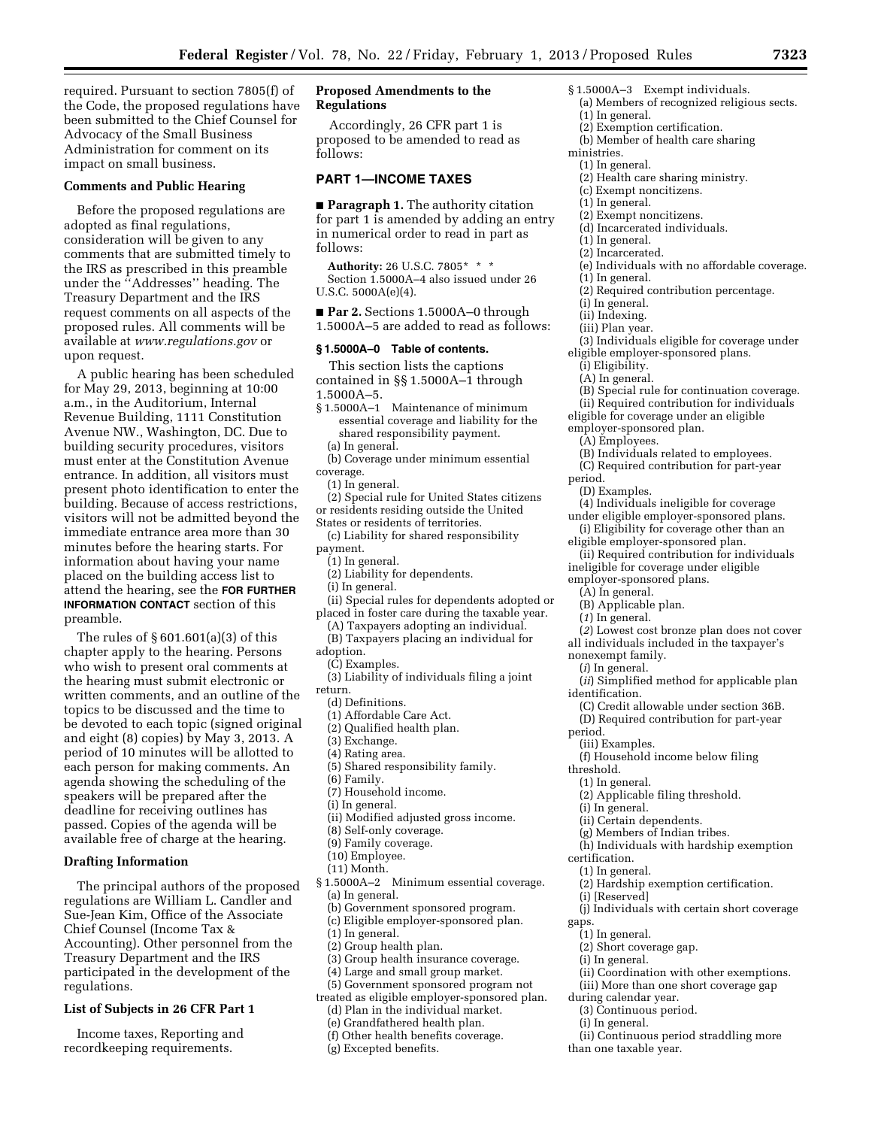required. Pursuant to section 7805(f) of the Code, the proposed regulations have been submitted to the Chief Counsel for Advocacy of the Small Business Administration for comment on its impact on small business.

### **Comments and Public Hearing**

Before the proposed regulations are adopted as final regulations, consideration will be given to any comments that are submitted timely to the IRS as prescribed in this preamble under the ''Addresses'' heading. The Treasury Department and the IRS request comments on all aspects of the proposed rules. All comments will be available at *[www.regulations.gov](http://www.regulations.gov)* or upon request.

A public hearing has been scheduled for May 29, 2013, beginning at 10:00 a.m., in the Auditorium, Internal Revenue Building, 1111 Constitution Avenue NW., Washington, DC. Due to building security procedures, visitors must enter at the Constitution Avenue entrance. In addition, all visitors must present photo identification to enter the building. Because of access restrictions, visitors will not be admitted beyond the immediate entrance area more than 30 minutes before the hearing starts. For information about having your name placed on the building access list to attend the hearing, see the **FOR FURTHER INFORMATION CONTACT** section of this preamble.

The rules of § 601.601(a)(3) of this chapter apply to the hearing. Persons who wish to present oral comments at the hearing must submit electronic or written comments, and an outline of the topics to be discussed and the time to be devoted to each topic (signed original and eight (8) copies) by May 3, 2013. A period of 10 minutes will be allotted to each person for making comments. An agenda showing the scheduling of the speakers will be prepared after the deadline for receiving outlines has passed. Copies of the agenda will be available free of charge at the hearing.

### **Drafting Information**

The principal authors of the proposed regulations are William L. Candler and Sue-Jean Kim, Office of the Associate Chief Counsel (Income Tax & Accounting). Other personnel from the Treasury Department and the IRS participated in the development of the regulations.

#### **List of Subjects in 26 CFR Part 1**

Income taxes, Reporting and recordkeeping requirements.

## **Proposed Amendments to the Regulations**

Accordingly, 26 CFR part 1 is proposed to be amended to read as follows:

### **PART 1—INCOME TAXES**

■ **Paragraph 1.** The authority citation for part 1 is amended by adding an entry in numerical order to read in part as follows:

**Authority:** 26 U.S.C. 7805\* \* \* Section 1.5000A–4 also issued under 26 U.S.C. 5000A(e)(4).

■ **Par 2.** Sections 1.5000A–0 through 1.5000A–5 are added to read as follows:

## **§ 1.5000A–0 Table of contents.**

This section lists the captions contained in §§ 1.5000A–1 through 1.5000A–5.

- § 1.5000A–1 Maintenance of minimum essential coverage and liability for the shared responsibility payment. (a) In general.
- (b) Coverage under minimum essential coverage.
	- (1) In general.
- (2) Special rule for United States citizens or residents residing outside the United States or residents of territories.
- (c) Liability for shared responsibility payment.
- (1) In general.
- (2) Liability for dependents.
- (i) In general.
- (ii) Special rules for dependents adopted or placed in foster care during the taxable year.
- (A) Taxpayers adopting an individual.
- (B) Taxpayers placing an individual for adoption.
- (C) Examples.
- (3) Liability of individuals filing a joint
- return.
	- (d) Definitions.
- (1) Affordable Care Act.
- (2) Qualified health plan.
- (3) Exchange.
- (4) Rating area.
- (5) Shared responsibility family.
- (6) Family.
- (7) Household income.
- (i) In general.
- (ii) Modified adjusted gross income.
- (8) Self-only coverage.
- (9) Family coverage.
- (10) Employee.
- (11) Month.
- § 1.5000A–2 Minimum essential coverage. (a) In general.
	- (b) Government sponsored program.
	- (c) Eligible employer-sponsored plan.
	- (1) In general.
	- (2) Group health plan.
	- (3) Group health insurance coverage.
	- (4) Large and small group market.
- (5) Government sponsored program not
- treated as eligible employer-sponsored plan. (d) Plan in the individual market.
	- (e) Grandfathered health plan.
	-
	- (f) Other health benefits coverage.
	- (g) Excepted benefits.
- § 1.5000A–3 Exempt individuals. (a) Members of recognized religious sects.
- (1) In general.
- (2) Exemption certification.
- (b) Member of health care sharing
- ministries.
- (1) In general.
	- (2) Health care sharing ministry.
- (c) Exempt noncitizens.
- (1) In general.
- (2) Exempt noncitizens.
- (d) Incarcerated individuals.
- (1) In general.
- (2) Incarcerated.
- (e) Individuals with no affordable coverage.
- (1) In general.
- (2) Required contribution percentage.
- (i) In general.
- (ii) Indexing.
- (iii) Plan year.
- (3) Individuals eligible for coverage under eligible employer-sponsored plans.
	- (i) Eligibility.
	- (A) In general.
- (B) Special rule for continuation coverage.
- (ii) Required contribution for individuals
- eligible for coverage under an eligible employer-sponsored plan.
	-
	- (A) Employees. (B) Individuals related to employees.
	- (C) Required contribution for part-year
- period.
- (D) Examples.

(4) Individuals ineligible for coverage

- under eligible employer-sponsored plans. (i) Eligibility for coverage other than an
- eligible employer-sponsored plan.
- (ii) Required contribution for individuals ineligible for coverage under eligible
- employer-sponsored plans.
	- (A) In general.
	- (B) Applicable plan.
	- (*1*) In general.
- (*2*) Lowest cost bronze plan does not cover all individuals included in the taxpayer's

(*ii*) Simplified method for applicable plan

(C) Credit allowable under section 36B. (D) Required contribution for part-year

(h) Individuals with hardship exemption

(j) Individuals with certain short coverage

(ii) Coordination with other exemptions. (iii) More than one short coverage gap

(ii) Continuous period straddling more

(2) Hardship exemption certification.

(f) Household income below filing

(2) Applicable filing threshold.

(ii) Certain dependents. (g) Members of Indian tribes.

nonexempt family.

(iii) Examples.

(i) In general.

(i) [Reserved]

(1) In general. (2) Short coverage gap.

(i) In general.

during calendar year. (3) Continuous period. (i) In general.

than one taxable year.

(*i*) In general.

identification.

period.

threshold. (1) In general.

certification. (1) In general.

gaps.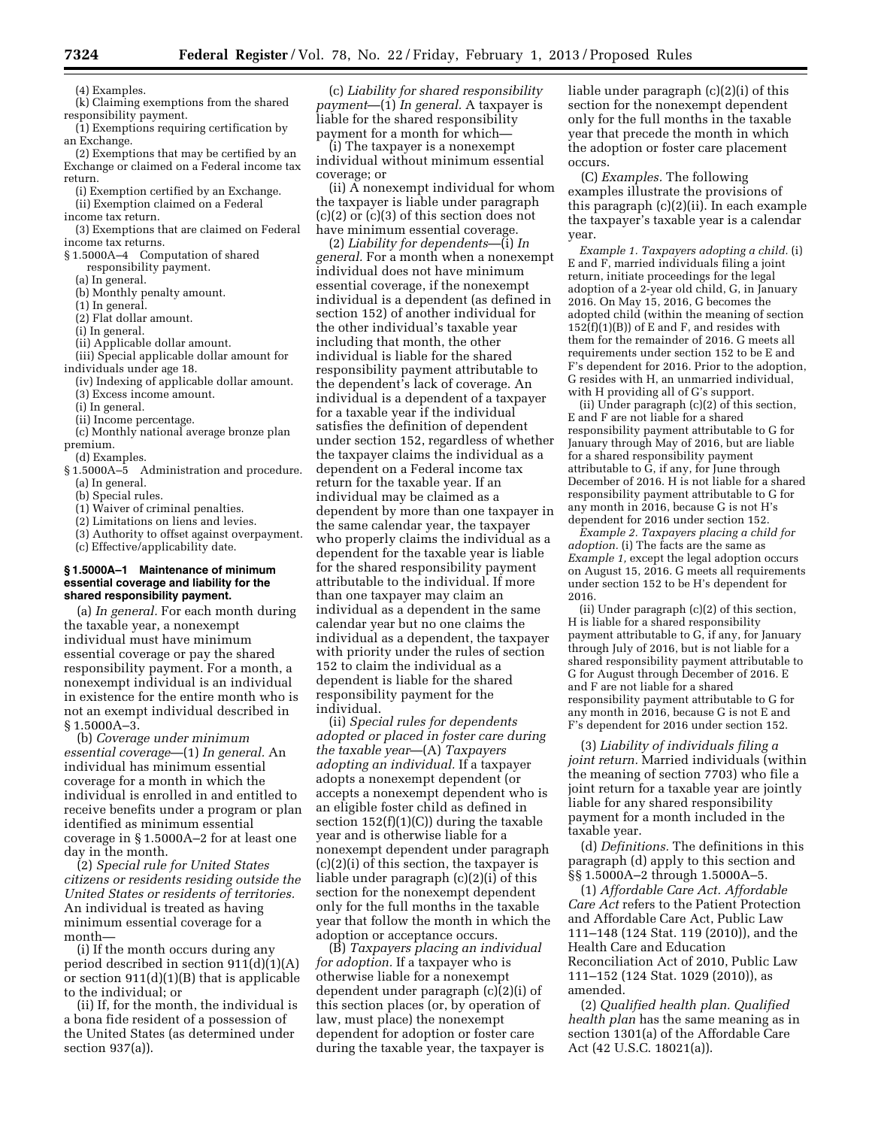(4) Examples.

(k) Claiming exemptions from the shared responsibility payment.

(1) Exemptions requiring certification by an Exchange.

(2) Exemptions that may be certified by an Exchange or claimed on a Federal income tax return.

(i) Exemption certified by an Exchange.

- (ii) Exemption claimed on a Federal income tax return.
- (3) Exemptions that are claimed on Federal income tax returns.

§ 1.5000A–4 Computation of shared responsibility payment.

- (a) In general.
- (b) Monthly penalty amount.
- (1) In general.
- (2) Flat dollar amount.
- (i) In general.
- (ii) Applicable dollar amount.

(iii) Special applicable dollar amount for individuals under age 18.

- (iv) Indexing of applicable dollar amount. (3) Excess income amount.
- 
- (i) In general.
- (ii) Income percentage.

(c) Monthly national average bronze plan premium.

- (d) Examples.
- § 1.5000A–5 Administration and procedure. (a) In general.
	- (b) Special rules.
	- (1) Waiver of criminal penalties.
	- (2) Limitations on liens and levies.
	- (3) Authority to offset against overpayment.
	- (c) Effective/applicability date.

### **§ 1.5000A–1 Maintenance of minimum essential coverage and liability for the shared responsibility payment.**

(a) *In general.* For each month during the taxable year, a nonexempt individual must have minimum essential coverage or pay the shared responsibility payment. For a month, a nonexempt individual is an individual in existence for the entire month who is not an exempt individual described in § 1.5000A–3.

(b) *Coverage under minimum essential coverage*—(1) *In general.* An individual has minimum essential coverage for a month in which the individual is enrolled in and entitled to receive benefits under a program or plan identified as minimum essential coverage in § 1.5000A–2 for at least one day in the month.

(2) *Special rule for United States citizens or residents residing outside the United States or residents of territories.*  An individual is treated as having minimum essential coverage for a month—

(i) If the month occurs during any period described in section 911(d)(1)(A) or section 911(d)(1)(B) that is applicable to the individual; or

(ii) If, for the month, the individual is a bona fide resident of a possession of the United States (as determined under section 937(a)).

(c) *Liability for shared responsibility payment*—(1) *In general.* A taxpayer is liable for the shared responsibility payment for a month for which—

(i) The taxpayer is a nonexempt individual without minimum essential coverage; or

(ii)  $\overline{A}$  nonexempt individual for whom the taxpayer is liable under paragraph (c)(2) or (c)(3) of this section does not have minimum essential coverage.

(2) *Liability for dependents*—(i) *In general.* For a month when a nonexempt individual does not have minimum essential coverage, if the nonexempt individual is a dependent (as defined in section 152) of another individual for the other individual's taxable year including that month, the other individual is liable for the shared responsibility payment attributable to the dependent's lack of coverage. An individual is a dependent of a taxpayer for a taxable year if the individual satisfies the definition of dependent under section 152, regardless of whether the taxpayer claims the individual as a dependent on a Federal income tax return for the taxable year. If an individual may be claimed as a dependent by more than one taxpayer in the same calendar year, the taxpayer who properly claims the individual as a dependent for the taxable year is liable for the shared responsibility payment attributable to the individual. If more than one taxpayer may claim an individual as a dependent in the same calendar year but no one claims the individual as a dependent, the taxpayer with priority under the rules of section 152 to claim the individual as a dependent is liable for the shared responsibility payment for the individual.

(ii) *Special rules for dependents adopted or placed in foster care during the taxable year*—(A) *Taxpayers adopting an individual.* If a taxpayer adopts a nonexempt dependent (or accepts a nonexempt dependent who is an eligible foster child as defined in section  $152(f)(1)(C)$  during the taxable year and is otherwise liable for a nonexempt dependent under paragraph (c)(2)(i) of this section, the taxpayer is liable under paragraph (c)(2)(i) of this section for the nonexempt dependent only for the full months in the taxable year that follow the month in which the adoption or acceptance occurs.

(B) *Taxpayers placing an individual for adoption.* If a taxpayer who is otherwise liable for a nonexempt dependent under paragraph (c)(2)(i) of this section places (or, by operation of law, must place) the nonexempt dependent for adoption or foster care during the taxable year, the taxpayer is liable under paragraph (c)(2)(i) of this section for the nonexempt dependent only for the full months in the taxable year that precede the month in which the adoption or foster care placement occurs.

(C) *Examples.* The following examples illustrate the provisions of this paragraph (c)(2)(ii). In each example the taxpayer's taxable year is a calendar year.

*Example 1. Taxpayers adopting a child.* (i) E and F, married individuals filing a joint return, initiate proceedings for the legal adoption of a 2-year old child, G, in January 2016. On May 15, 2016, G becomes the adopted child (within the meaning of section  $152(f)(1)(B)$  of E and F, and resides with them for the remainder of 2016. G meets all requirements under section 152 to be E and F's dependent for 2016. Prior to the adoption, G resides with H, an unmarried individual, with H providing all of G's support.

(ii) Under paragraph (c)(2) of this section, E and F are not liable for a shared responsibility payment attributable to G for January through May of 2016, but are liable for a shared responsibility payment attributable to G, if any, for June through December of 2016. H is not liable for a shared responsibility payment attributable to G for any month in 2016, because G is not H's dependent for 2016 under section 152.

*Example 2. Taxpayers placing a child for adoption.* (i) The facts are the same as *Example 1,* except the legal adoption occurs on August 15, 2016. G meets all requirements under section 152 to be H's dependent for 2016.

(ii) Under paragraph (c)(2) of this section, H is liable for a shared responsibility payment attributable to G, if any, for January through July of 2016, but is not liable for a shared responsibility payment attributable to G for August through December of 2016. E and F are not liable for a shared responsibility payment attributable to G for any month in 2016, because G is not E and F's dependent for 2016 under section 152.

(3) *Liability of individuals filing a joint return.* Married individuals (within the meaning of section 7703) who file a joint return for a taxable year are jointly liable for any shared responsibility payment for a month included in the taxable year.

(d) *Definitions.* The definitions in this paragraph (d) apply to this section and §§ 1.5000A–2 through 1.5000A–5.

(1) *Affordable Care Act. Affordable Care Act* refers to the Patient Protection and Affordable Care Act, Public Law 111–148 (124 Stat. 119 (2010)), and the Health Care and Education Reconciliation Act of 2010, Public Law 111–152 (124 Stat. 1029 (2010)), as amended.

(2) *Qualified health plan. Qualified health plan* has the same meaning as in section 1301(a) of the Affordable Care Act (42 U.S.C. 18021(a)).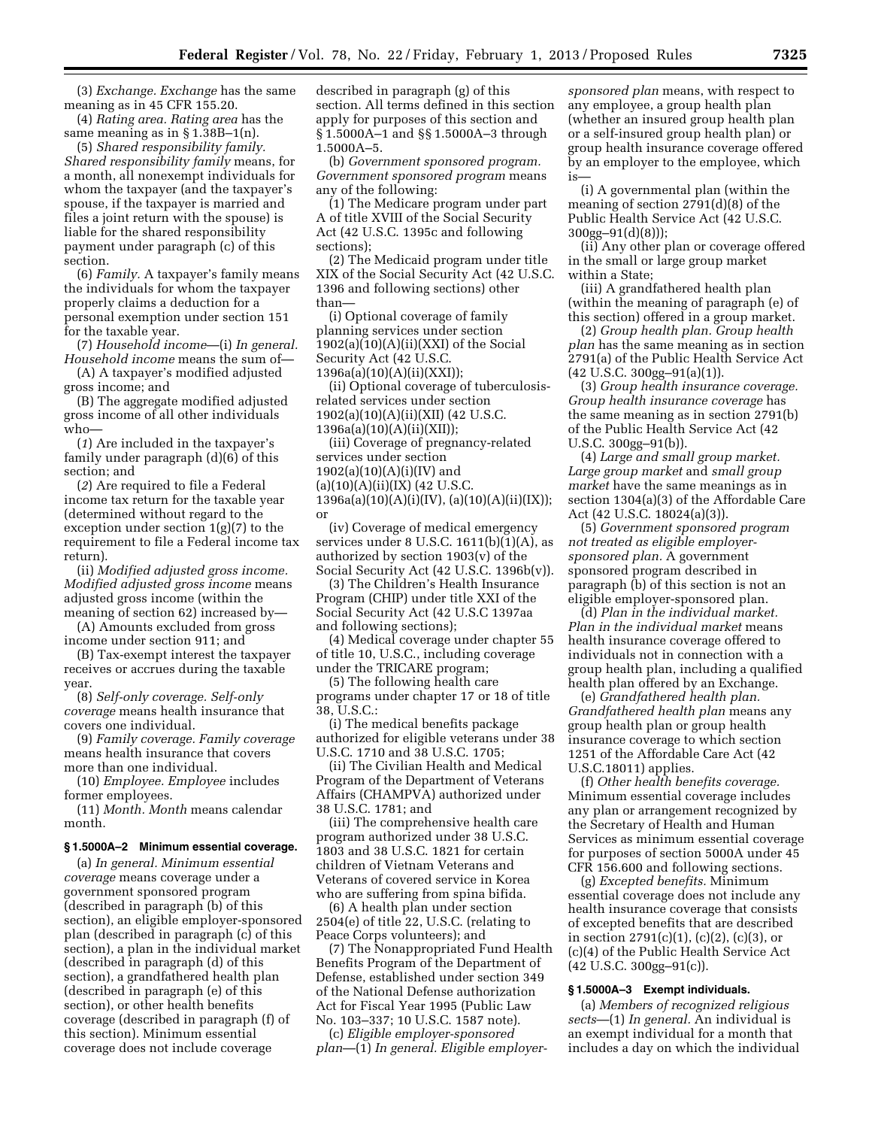(3) *Exchange. Exchange* has the same meaning as in 45 CFR 155.20.

(4) *Rating area. Rating area* has the same meaning as in § 1.38B–1(n). (5) *Shared responsibility family. Shared responsibility family* means, for a month, all nonexempt individuals for whom the taxpayer (and the taxpayer's spouse, if the taxpayer is married and files a joint return with the spouse) is

liable for the shared responsibility payment under paragraph (c) of this section. (6) *Family.* A taxpayer's family means

the individuals for whom the taxpayer properly claims a deduction for a personal exemption under section 151 for the taxable year.

(7) *Household income*—(i) *In general. Household income* means the sum of— (A) A taxpayer's modified adjusted

gross income; and

(B) The aggregate modified adjusted gross income of all other individuals who—

(*1*) Are included in the taxpayer's family under paragraph (d)(6) of this section; and

(*2*) Are required to file a Federal income tax return for the taxable year (determined without regard to the exception under section 1(g)(7) to the requirement to file a Federal income tax return).

(ii) *Modified adjusted gross income. Modified adjusted gross income* means adjusted gross income (within the meaning of section 62) increased by—

(A) Amounts excluded from gross income under section 911; and

(B) Tax-exempt interest the taxpayer receives or accrues during the taxable year.

(8) *Self-only coverage. Self-only coverage* means health insurance that covers one individual.

(9) *Family coverage. Family coverage*  means health insurance that covers more than one individual.

(10) *Employee. Employee* includes former employees.

(11) *Month. Month* means calendar month.

## **§ 1.5000A–2 Minimum essential coverage.**

(a) *In general. Minimum essential coverage* means coverage under a government sponsored program (described in paragraph (b) of this section), an eligible employer-sponsored plan (described in paragraph (c) of this section), a plan in the individual market (described in paragraph (d) of this section), a grandfathered health plan (described in paragraph (e) of this section), or other health benefits coverage (described in paragraph (f) of this section). Minimum essential coverage does not include coverage

described in paragraph (g) of this section. All terms defined in this section apply for purposes of this section and § 1.5000A–1 and §§ 1.5000A–3 through 1.5000A–5.

(b) *Government sponsored program. Government sponsored program* means any of the following:

(1) The Medicare program under part A of title XVIII of the Social Security Act (42 U.S.C. 1395c and following sections);

(2) The Medicaid program under title XIX of the Social Security Act (42 U.S.C. 1396 and following sections) other than—

(i) Optional coverage of family planning services under section  $1902(a)(10)(A)(ii)(XX)$  of the Social Security Act (42 U.S.C. 1396a(a)(10)(A)(ii)(XXI));

(ii) Optional coverage of tuberculosisrelated services under section 1902(a)(10)(A)(ii)(XII) (42 U.S.C. 1396a(a)(10)(A)(ii)(XII));

(iii) Coverage of pregnancy-related services under section  $1902(a)(10)(A)(i)(IV)$  and  $(a)(10)(A)(ii)(IX)$  (42 U.S.C.  $1396a(a)(10)(A)(i)(IV), (a)(10)(A)(ii)(IX));$ or

(iv) Coverage of medical emergency services under  $8$  U.S.C.  $1611(b)(1)(A)$ , as authorized by section 1903(v) of the Social Security Act (42 U.S.C. 1396b(v)).

(3) The Children's Health Insurance Program (CHIP) under title XXI of the Social Security Act (42 U.S.C 1397aa and following sections);

(4) Medical coverage under chapter 55 of title 10, U.S.C., including coverage under the TRICARE program;

(5) The following health care programs under chapter 17 or 18 of title 38, U.S.C.:

(i) The medical benefits package authorized for eligible veterans under 38 U.S.C. 1710 and 38 U.S.C. 1705;

(ii) The Civilian Health and Medical Program of the Department of Veterans Affairs (CHAMPVA) authorized under 38 U.S.C. 1781; and

(iii) The comprehensive health care program authorized under 38 U.S.C. 1803 and 38 U.S.C. 1821 for certain children of Vietnam Veterans and Veterans of covered service in Korea who are suffering from spina bifida.

(6) A health plan under section 2504(e) of title 22, U.S.C. (relating to Peace Corps volunteers); and

(7) The Nonappropriated Fund Health Benefits Program of the Department of Defense, established under section 349 of the National Defense authorization Act for Fiscal Year 1995 (Public Law No. 103–337; 10 U.S.C. 1587 note).

(c) *Eligible employer-sponsored plan*—(1) *In general. Eligible employer-*

*sponsored plan* means, with respect to any employee, a group health plan (whether an insured group health plan or a self-insured group health plan) or group health insurance coverage offered by an employer to the employee, which is—

(i) A governmental plan (within the meaning of section 2791(d)(8) of the Public Health Service Act (42 U.S.C. 300gg–91(d)(8)));

(ii) Any other plan or coverage offered in the small or large group market within a State;

(iii) A grandfathered health plan (within the meaning of paragraph (e) of this section) offered in a group market.

(2) *Group health plan. Group health plan* has the same meaning as in section 2791(a) of the Public Health Service Act (42 U.S.C. 300gg–91(a)(1)).

(3) *Group health insurance coverage. Group health insurance coverage* has the same meaning as in section 2791(b) of the Public Health Service Act (42 U.S.C. 300gg–91(b)).

(4) *Large and small group market. Large group market* and *small group market* have the same meanings as in section 1304(a)(3) of the Affordable Care Act (42 U.S.C. 18024(a)(3)).

(5) *Government sponsored program not treated as eligible employersponsored plan.* A government sponsored program described in paragraph (b) of this section is not an eligible employer-sponsored plan.

(d) *Plan in the individual market. Plan in the individual market* means health insurance coverage offered to individuals not in connection with a group health plan, including a qualified health plan offered by an Exchange.

(e) *Grandfathered health plan. Grandfathered health plan* means any group health plan or group health insurance coverage to which section 1251 of the Affordable Care Act (42 U.S.C.18011) applies.

(f) *Other health benefits coverage.*  Minimum essential coverage includes any plan or arrangement recognized by the Secretary of Health and Human Services as minimum essential coverage for purposes of section 5000A under 45 CFR 156.600 and following sections.

(g) *Excepted benefits.* Minimum essential coverage does not include any health insurance coverage that consists of excepted benefits that are described in section  $2791(c)(1)$ ,  $(c)(2)$ ,  $(c)(3)$ , or (c)(4) of the Public Health Service Act  $(42 \text{ U.S.C. } 300 \text{gg} - 91 \text{ (c)}).$ 

### **§ 1.5000A–3 Exempt individuals.**

(a) *Members of recognized religious sects*—(1) *In general.* An individual is an exempt individual for a month that includes a day on which the individual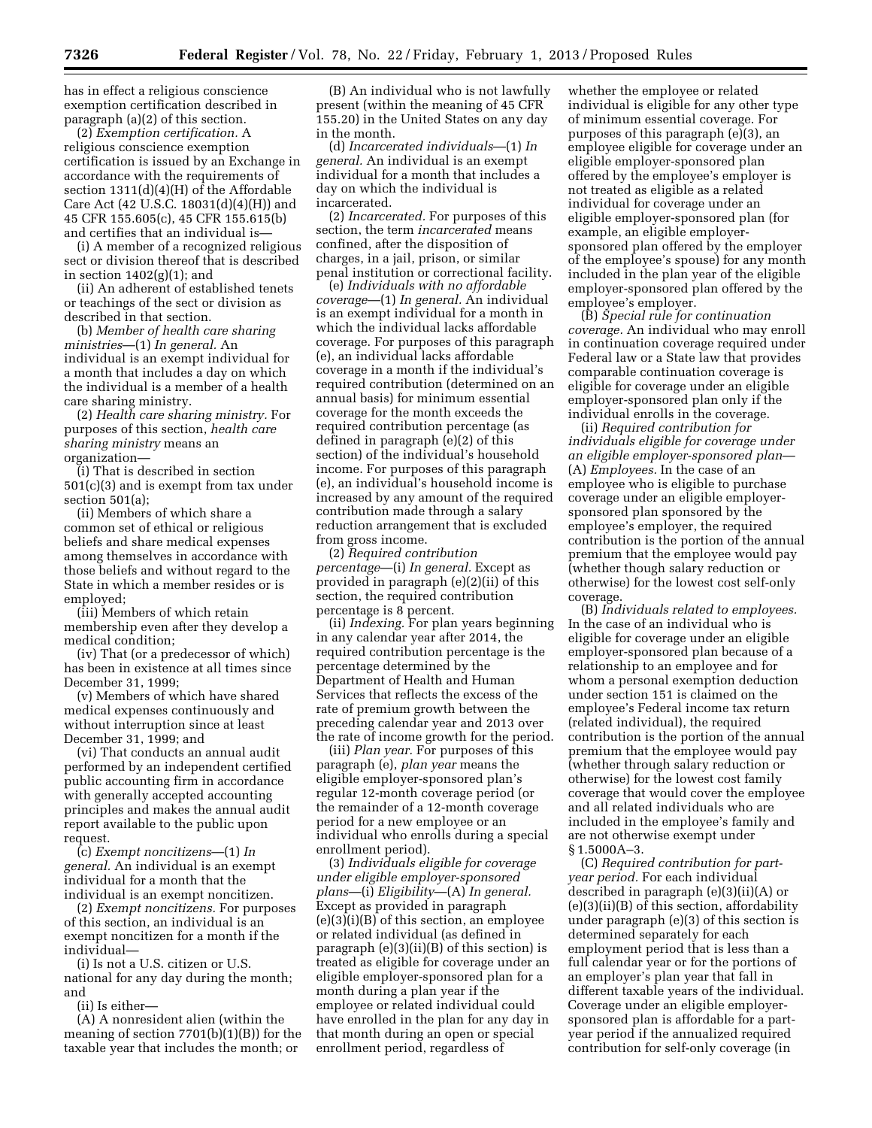has in effect a religious conscience exemption certification described in paragraph (a)(2) of this section.

(2) *Exemption certification.* A religious conscience exemption certification is issued by an Exchange in accordance with the requirements of section 1311(d)(4)(H) of the Affordable Care Act (42 U.S.C. 18031(d)(4)(H)) and 45 CFR 155.605(c), 45 CFR 155.615(b) and certifies that an individual is—

(i) A member of a recognized religious sect or division thereof that is described in section  $1402(g)(1)$ ; and

(ii) An adherent of established tenets or teachings of the sect or division as described in that section.

(b) *Member of health care sharing ministries*—(1) *In general.* An individual is an exempt individual for a month that includes a day on which the individual is a member of a health care sharing ministry.

(2) *Health care sharing ministry.* For purposes of this section, *health care sharing ministry* means an organization—

(i) That is described in section 501(c)(3) and is exempt from tax under section 501(a);

(ii) Members of which share a common set of ethical or religious beliefs and share medical expenses among themselves in accordance with those beliefs and without regard to the State in which a member resides or is employed;

(iii) Members of which retain membership even after they develop a medical condition;

(iv) That (or a predecessor of which) has been in existence at all times since December 31, 1999;

(v) Members of which have shared medical expenses continuously and without interruption since at least December 31, 1999; and

(vi) That conducts an annual audit performed by an independent certified public accounting firm in accordance with generally accepted accounting principles and makes the annual audit report available to the public upon request.

(c) *Exempt noncitizens*—(1) *In general.* An individual is an exempt individual for a month that the individual is an exempt noncitizen.

(2) *Exempt noncitizens.* For purposes of this section, an individual is an exempt noncitizen for a month if the individual—

(i) Is not a U.S. citizen or U.S. national for any day during the month; and

(ii) Is either—

(A) A nonresident alien (within the meaning of section 7701(b)(1)(B)) for the taxable year that includes the month; or

(B) An individual who is not lawfully present (within the meaning of 45 CFR 155.20) in the United States on any day in the month.

(d) *Incarcerated individuals*—(1) *In general.* An individual is an exempt individual for a month that includes a day on which the individual is incarcerated.

(2) *Incarcerated.* For purposes of this section, the term *incarcerated* means confined, after the disposition of charges, in a jail, prison, or similar penal institution or correctional facility.

(e) *Individuals with no affordable coverage*—(1) *In general.* An individual is an exempt individual for a month in which the individual lacks affordable coverage. For purposes of this paragraph (e), an individual lacks affordable coverage in a month if the individual's required contribution (determined on an annual basis) for minimum essential coverage for the month exceeds the required contribution percentage (as defined in paragraph (e)(2) of this section) of the individual's household income. For purposes of this paragraph (e), an individual's household income is increased by any amount of the required contribution made through a salary reduction arrangement that is excluded from gross income.

(2) *Required contribution percentage*—(i) *In general.* Except as provided in paragraph (e)(2)(ii) of this section, the required contribution percentage is 8 percent.

(ii) *Indexing.* For plan years beginning in any calendar year after 2014, the required contribution percentage is the percentage determined by the Department of Health and Human Services that reflects the excess of the rate of premium growth between the preceding calendar year and 2013 over the rate of income growth for the period.

(iii) *Plan year.* For purposes of this paragraph (e), *plan year* means the eligible employer-sponsored plan's regular 12-month coverage period (or the remainder of a 12-month coverage period for a new employee or an individual who enrolls during a special enrollment period).

(3) *Individuals eligible for coverage under eligible employer-sponsored plans*—(i) *Eligibility*—(A) *In general.*  Except as provided in paragraph (e)(3)(i)(B) of this section, an employee or related individual (as defined in paragraph (e)(3)(ii)(B) of this section) is treated as eligible for coverage under an eligible employer-sponsored plan for a month during a plan year if the employee or related individual could have enrolled in the plan for any day in that month during an open or special enrollment period, regardless of

whether the employee or related individual is eligible for any other type of minimum essential coverage. For purposes of this paragraph (e)(3), an employee eligible for coverage under an eligible employer-sponsored plan offered by the employee's employer is not treated as eligible as a related individual for coverage under an eligible employer-sponsored plan (for example, an eligible employersponsored plan offered by the employer of the employee's spouse) for any month included in the plan year of the eligible employer-sponsored plan offered by the employee's employer.

(B) *Special rule for continuation coverage.* An individual who may enroll in continuation coverage required under Federal law or a State law that provides comparable continuation coverage is eligible for coverage under an eligible employer-sponsored plan only if the individual enrolls in the coverage.

(ii) *Required contribution for individuals eligible for coverage under an eligible employer-sponsored plan*— (A) *Employees.* In the case of an employee who is eligible to purchase coverage under an eligible employersponsored plan sponsored by the employee's employer, the required contribution is the portion of the annual premium that the employee would pay (whether though salary reduction or otherwise) for the lowest cost self-only coverage.

(B) *Individuals related to employees.*  In the case of an individual who is eligible for coverage under an eligible employer-sponsored plan because of a relationship to an employee and for whom a personal exemption deduction under section 151 is claimed on the employee's Federal income tax return (related individual), the required contribution is the portion of the annual premium that the employee would pay (whether through salary reduction or otherwise) for the lowest cost family coverage that would cover the employee and all related individuals who are included in the employee's family and are not otherwise exempt under § 1.5000A–3.

(C) *Required contribution for partyear period.* For each individual described in paragraph (e)(3)(ii)(A) or (e)(3)(ii)(B) of this section, affordability under paragraph (e)(3) of this section is determined separately for each employment period that is less than a full calendar year or for the portions of an employer's plan year that fall in different taxable years of the individual. Coverage under an eligible employersponsored plan is affordable for a partyear period if the annualized required contribution for self-only coverage (in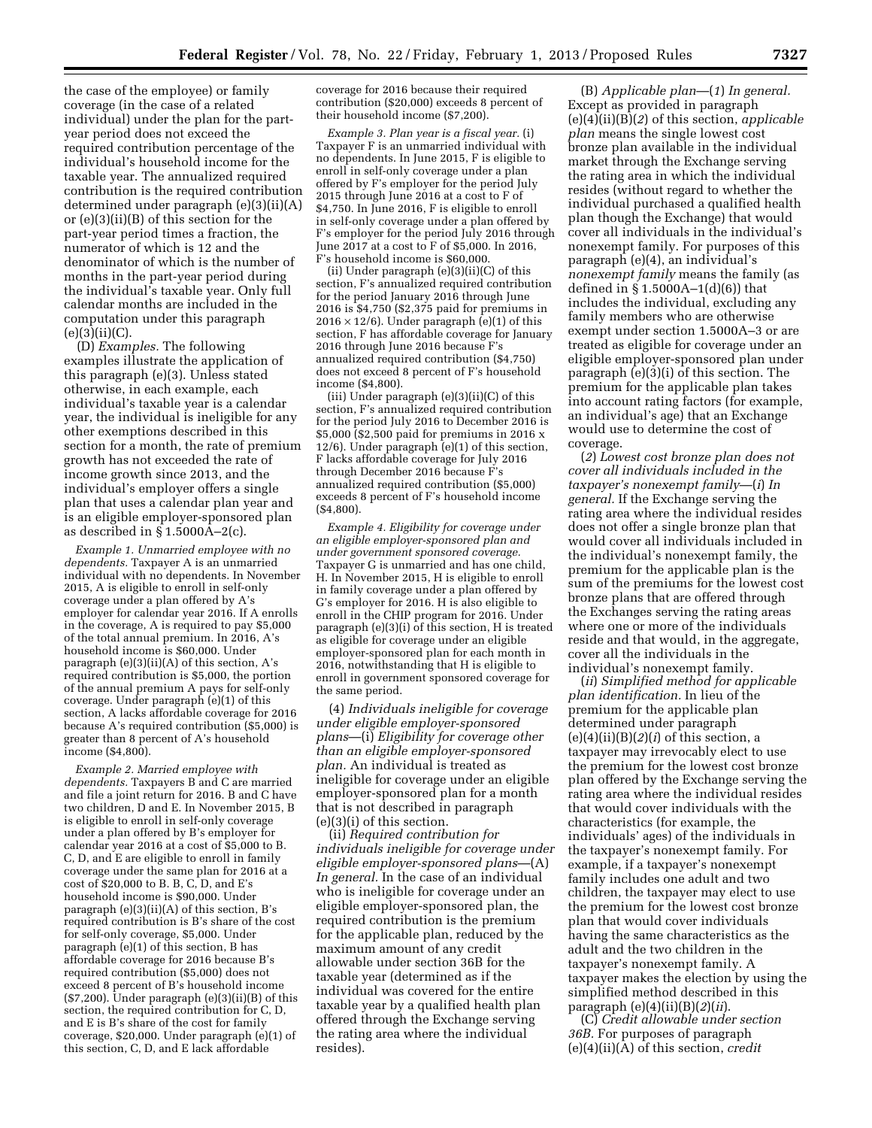the case of the employee) or family coverage (in the case of a related individual) under the plan for the partyear period does not exceed the required contribution percentage of the individual's household income for the taxable year. The annualized required contribution is the required contribution determined under paragraph (e)(3)(ii)(A) or (e)(3)(ii)(B) of this section for the part-year period times a fraction, the numerator of which is 12 and the denominator of which is the number of months in the part-year period during the individual's taxable year. Only full calendar months are included in the computation under this paragraph  $(e)(3)(ii)(C).$ 

(D) *Examples.* The following examples illustrate the application of this paragraph (e)(3). Unless stated otherwise, in each example, each individual's taxable year is a calendar year, the individual is ineligible for any other exemptions described in this section for a month, the rate of premium growth has not exceeded the rate of income growth since 2013, and the individual's employer offers a single plan that uses a calendar plan year and is an eligible employer-sponsored plan as described in § 1.5000A–2(c).

*Example 1. Unmarried employee with no dependents.* Taxpayer A is an unmarried individual with no dependents. In November 2015, A is eligible to enroll in self-only coverage under a plan offered by A's employer for calendar year 2016. If A enrolls in the coverage, A is required to pay \$5,000 of the total annual premium. In 2016, A's household income is \$60,000. Under paragraph (e)(3)(ii)(A) of this section, A's required contribution is \$5,000, the portion of the annual premium A pays for self-only coverage. Under paragraph (e)(1) of this section, A lacks affordable coverage for 2016 because A's required contribution (\$5,000) is greater than 8 percent of A's household income (\$4,800).

*Example 2. Married employee with dependents.* Taxpayers B and C are married and file a joint return for 2016. B and C have two children, D and E. In November 2015, B is eligible to enroll in self-only coverage under a plan offered by B's employer for calendar year 2016 at a cost of \$5,000 to B. C, D, and E are eligible to enroll in family coverage under the same plan for 2016 at a cost of \$20,000 to B. B, C, D, and E's household income is \$90,000. Under paragraph (e)(3)(ii)(A) of this section, B's required contribution is B's share of the cost for self-only coverage, \$5,000. Under paragraph  $(e)(1)$  of this section, B has affordable coverage for 2016 because B's required contribution (\$5,000) does not exceed 8 percent of B's household income (\$7,200). Under paragraph (e)(3)(ii)(B) of this section, the required contribution for C, D, and E is B's share of the cost for family coverage, \$20,000. Under paragraph (e)(1) of this section, C, D, and E lack affordable

coverage for 2016 because their required contribution (\$20,000) exceeds 8 percent of their household income (\$7,200).

*Example 3. Plan year is a fiscal year.* (i) Taxpayer F is an unmarried individual with no dependents. In June 2015, F is eligible to enroll in self-only coverage under a plan offered by F's employer for the period July 2015 through June 2016 at a cost to F of \$4,750. In June 2016, F is eligible to enroll in self-only coverage under a plan offered by F's employer for the period July 2016 through June 2017 at a cost to F of \$5,000. In 2016, F's household income is \$60,000.

(ii) Under paragraph (e)(3)(ii)(C) of this section, F's annualized required contribution for the period January 2016 through June 2016 is \$4,750 (\$2,375 paid for premiums in  $2016 \times 12/6$ ). Under paragraph (e)(1) of this section, F has affordable coverage for January 2016 through June 2016 because F's annualized required contribution (\$4,750) does not exceed 8 percent of F's household income (\$4,800).

(iii) Under paragraph (e)(3)(ii)(C) of this section, F's annualized required contribution for the period July 2016 to December 2016 is \$5,000 (\$2,500 paid for premiums in 2016 x 12/6). Under paragraph (e)(1) of this section, F lacks affordable coverage for July 2016 through December 2016 because F's annualized required contribution (\$5,000) exceeds 8 percent of F's household income (\$4,800).

*Example 4. Eligibility for coverage under an eligible employer-sponsored plan and under government sponsored coverage.*  Taxpayer G is unmarried and has one child, H. In November 2015, H is eligible to enroll in family coverage under a plan offered by G's employer for 2016. H is also eligible to enroll in the CHIP program for 2016. Under paragraph  $(e)(3)(i)$  of this section, H is treated as eligible for coverage under an eligible employer-sponsored plan for each month in 2016, notwithstanding that H is eligible to enroll in government sponsored coverage for the same period.

(4) *Individuals ineligible for coverage under eligible employer-sponsored plans*—(i) *Eligibility for coverage other than an eligible employer-sponsored plan.* An individual is treated as ineligible for coverage under an eligible employer-sponsored plan for a month that is not described in paragraph (e)(3)(i) of this section.

(ii) *Required contribution for individuals ineligible for coverage under eligible employer-sponsored plans*—(A) *In general.* In the case of an individual who is ineligible for coverage under an eligible employer-sponsored plan, the required contribution is the premium for the applicable plan, reduced by the maximum amount of any credit allowable under section 36B for the taxable year (determined as if the individual was covered for the entire taxable year by a qualified health plan offered through the Exchange serving the rating area where the individual resides).

(B) *Applicable plan*—(*1*) *In general.*  Except as provided in paragraph (e)(4)(ii)(B)(*2*) of this section, *applicable plan* means the single lowest cost bronze plan available in the individual market through the Exchange serving the rating area in which the individual resides (without regard to whether the individual purchased a qualified health plan though the Exchange) that would cover all individuals in the individual's nonexempt family. For purposes of this paragraph (e)(4), an individual's *nonexempt family* means the family (as defined in  $\S 1.5000A - 1(d)(6)$  that includes the individual, excluding any family members who are otherwise exempt under section 1.5000A–3 or are treated as eligible for coverage under an eligible employer-sponsored plan under paragraph (e)(3)(i) of this section. The premium for the applicable plan takes into account rating factors (for example, an individual's age) that an Exchange would use to determine the cost of coverage.

(*2*) *Lowest cost bronze plan does not cover all individuals included in the taxpayer's nonexempt family*—(*i*) *In general.* If the Exchange serving the rating area where the individual resides does not offer a single bronze plan that would cover all individuals included in the individual's nonexempt family, the premium for the applicable plan is the sum of the premiums for the lowest cost bronze plans that are offered through the Exchanges serving the rating areas where one or more of the individuals reside and that would, in the aggregate, cover all the individuals in the individual's nonexempt family.

(*ii*) *Simplified method for applicable plan identification.* In lieu of the premium for the applicable plan determined under paragraph (e)(4)(ii)(B)(*2*)(*i*) of this section, a taxpayer may irrevocably elect to use the premium for the lowest cost bronze plan offered by the Exchange serving the rating area where the individual resides that would cover individuals with the characteristics (for example, the individuals' ages) of the individuals in the taxpayer's nonexempt family. For example, if a taxpayer's nonexempt family includes one adult and two children, the taxpayer may elect to use the premium for the lowest cost bronze plan that would cover individuals having the same characteristics as the adult and the two children in the taxpayer's nonexempt family. A taxpayer makes the election by using the simplified method described in this paragraph (e)(4)(ii)(B)(*2*)(*ii*).

(C) *Credit allowable under section 36B.* For purposes of paragraph (e)(4)(ii)(A) of this section, *credit*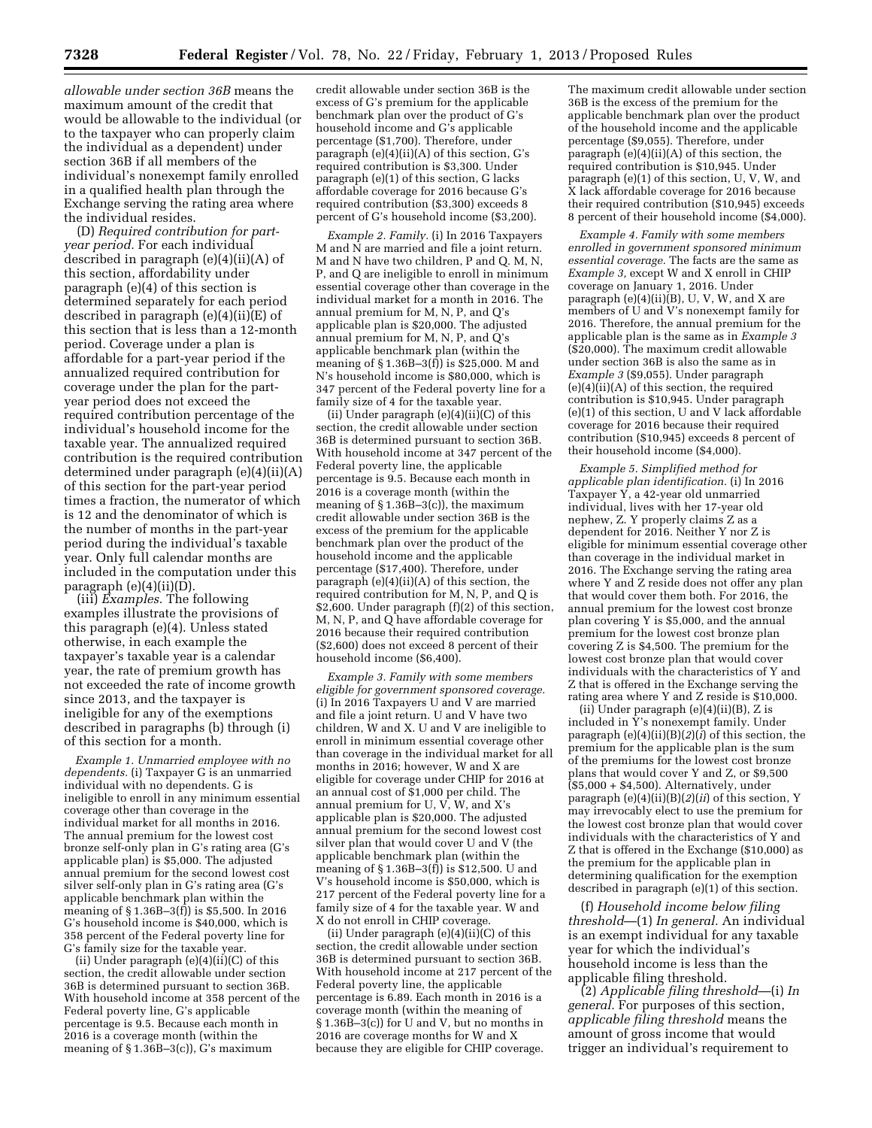*allowable under section 36B* means the maximum amount of the credit that would be allowable to the individual (or to the taxpayer who can properly claim the individual as a dependent) under section 36B if all members of the individual's nonexempt family enrolled in a qualified health plan through the Exchange serving the rating area where the individual resides.

(D) *Required contribution for partyear period.* For each individual described in paragraph (e)(4)(ii)(A) of this section, affordability under paragraph (e)(4) of this section is determined separately for each period described in paragraph (e)(4)(ii)(E) of this section that is less than a 12-month period. Coverage under a plan is affordable for a part-year period if the annualized required contribution for coverage under the plan for the partyear period does not exceed the required contribution percentage of the individual's household income for the taxable year. The annualized required contribution is the required contribution determined under paragraph (e)(4)(ii)(A) of this section for the part-year period times a fraction, the numerator of which is 12 and the denominator of which is the number of months in the part-year period during the individual's taxable year. Only full calendar months are included in the computation under this paragraph (e)(4)(ii)(D).

(iii) *Examples.* The following examples illustrate the provisions of this paragraph (e)(4). Unless stated otherwise, in each example the taxpayer's taxable year is a calendar year, the rate of premium growth has not exceeded the rate of income growth since 2013, and the taxpayer is ineligible for any of the exemptions described in paragraphs (b) through (i) of this section for a month.

*Example 1. Unmarried employee with no dependents.* (i) Taxpayer G is an unmarried individual with no dependents. G is ineligible to enroll in any minimum essential coverage other than coverage in the individual market for all months in 2016. The annual premium for the lowest cost bronze self-only plan in G's rating area (G's applicable plan) is \$5,000. The adjusted annual premium for the second lowest cost silver self-only plan in G's rating area (G's applicable benchmark plan within the meaning of § 1.36B–3(f)) is \$5,500. In 2016 G's household income is \$40,000, which is 358 percent of the Federal poverty line for G's family size for the taxable year.

(ii) Under paragraph (e)(4)(ii)(C) of this section, the credit allowable under section 36B is determined pursuant to section 36B. With household income at 358 percent of the Federal poverty line, G's applicable percentage is 9.5. Because each month in 2016 is a coverage month (within the meaning of  $\S 1.36B-3(c)$ , G's maximum

credit allowable under section 36B is the excess of G's premium for the applicable benchmark plan over the product of G's household income and G's applicable percentage (\$1,700). Therefore, under paragraph (e)(4)(ii)(A) of this section, G's required contribution is \$3,300. Under paragraph (e)(1) of this section, G lacks affordable coverage for 2016 because G's required contribution (\$3,300) exceeds 8 percent of G's household income (\$3,200).

*Example 2. Family.* (i) In 2016 Taxpayers M and N are married and file a joint return. M and N have two children, P and Q. M, N, P, and Q are ineligible to enroll in minimum essential coverage other than coverage in the individual market for a month in 2016. The annual premium for M, N, P, and Q's applicable plan is \$20,000. The adjusted annual premium for M, N, P, and Q's applicable benchmark plan (within the meaning of § 1.36B–3(f)) is \$25,000. M and N's household income is \$80,000, which is 347 percent of the Federal poverty line for a family size of 4 for the taxable year.

(ii) Under paragraph  $(e)(4)(ii)(C)$  of this section, the credit allowable under section 36B is determined pursuant to section 36B. With household income at 347 percent of the Federal poverty line, the applicable percentage is 9.5. Because each month in 2016 is a coverage month (within the meaning of  $\S 1.36B-3(c)$ , the maximum credit allowable under section 36B is the excess of the premium for the applicable benchmark plan over the product of the household income and the applicable percentage (\$17,400). Therefore, under paragraph (e)(4)(ii)(A) of this section, the required contribution for M, N, P, and Q is \$2,600. Under paragraph (f)(2) of this section, M, N, P, and Q have affordable coverage for 2016 because their required contribution (\$2,600) does not exceed 8 percent of their household income (\$6,400).

*Example 3. Family with some members eligible for government sponsored coverage.*  (i) In 2016 Taxpayers U and V are married and file a joint return. U and V have two children, W and X. U and V are ineligible to enroll in minimum essential coverage other than coverage in the individual market for all months in 2016; however, W and X are eligible for coverage under CHIP for 2016 at an annual cost of \$1,000 per child. The annual premium for U,  $\overrightarrow{V}$ , W, and X's applicable plan is \$20,000. The adjusted annual premium for the second lowest cost silver plan that would cover U and V (the applicable benchmark plan (within the meaning of  $\S 1.36B-3(f)$  is \$12,500. U and V's household income is \$50,000, which is 217 percent of the Federal poverty line for a family size of 4 for the taxable year. W and X do not enroll in CHIP coverage.

(ii) Under paragraph  $(e)(4)(ii)(C)$  of this section, the credit allowable under section 36B is determined pursuant to section 36B. With household income at 217 percent of the Federal poverty line, the applicable percentage is 6.89. Each month in 2016 is a coverage month (within the meaning of § 1.36B–3(c)) for U and V, but no months in 2016 are coverage months for W and X because they are eligible for CHIP coverage.

The maximum credit allowable under section 36B is the excess of the premium for the applicable benchmark plan over the product of the household income and the applicable percentage (\$9,055). Therefore, under paragraph (e)(4)(ii)(A) of this section, the required contribution is \$10,945. Under paragraph (e)(1) of this section, U, V, W, and X lack affordable coverage for 2016 because their required contribution (\$10,945) exceeds 8 percent of their household income (\$4,000).

*Example 4. Family with some members enrolled in government sponsored minimum essential coverage.* The facts are the same as *Example 3,* except W and X enroll in CHIP coverage on January 1, 2016. Under paragraph (e)(4)(ii)(B), U, V, W, and X are members of U and V's nonexempt family for 2016. Therefore, the annual premium for the applicable plan is the same as in *Example 3*  (\$20,000). The maximum credit allowable under section 36B is also the same as in *Example 3* (\$9,055). Under paragraph  $(e)(4)(ii)(A)$  of this section, the required contribution is \$10,945. Under paragraph (e)(1) of this section, U and V lack affordable coverage for 2016 because their required contribution (\$10,945) exceeds 8 percent of their household income (\$4,000).

*Example 5. Simplified method for applicable plan identification.* (i) In 2016 Taxpayer Y, a 42-year old unmarried individual, lives with her 17-year old nephew, Z. Y properly claims Z as a dependent for 2016. Neither Y nor Z is eligible for minimum essential coverage other than coverage in the individual market in 2016. The Exchange serving the rating area where Y and Z reside does not offer any plan that would cover them both. For 2016, the annual premium for the lowest cost bronze plan covering Y is \$5,000, and the annual premium for the lowest cost bronze plan covering Z is \$4,500. The premium for the lowest cost bronze plan that would cover individuals with the characteristics of Y and Z that is offered in the Exchange serving the rating area where Y and Z reside is \$10,000.

(ii) Under paragraph (e)(4)(ii)(B), Z is included in Y's nonexempt family. Under paragraph (e)(4)(ii)(B)(*2*)(*i*) of this section, the premium for the applicable plan is the sum of the premiums for the lowest cost bronze plans that would cover Y and Z, or \$9,500  $($ \$5,000 + \$4,500). Alternatively, under paragraph (e)(4)(ii)(B)(*2*)(*ii*) of this section, Y may irrevocably elect to use the premium for the lowest cost bronze plan that would cover individuals with the characteristics of Y and Z that is offered in the Exchange (\$10,000) as the premium for the applicable plan in determining qualification for the exemption described in paragraph (e)(1) of this section.

(f) *Household income below filing threshold*—(1) *In general.* An individual is an exempt individual for any taxable year for which the individual's household income is less than the applicable filing threshold.

(2) *Applicable filing threshold*—(i) *In general.* For purposes of this section, *applicable filing threshold* means the amount of gross income that would trigger an individual's requirement to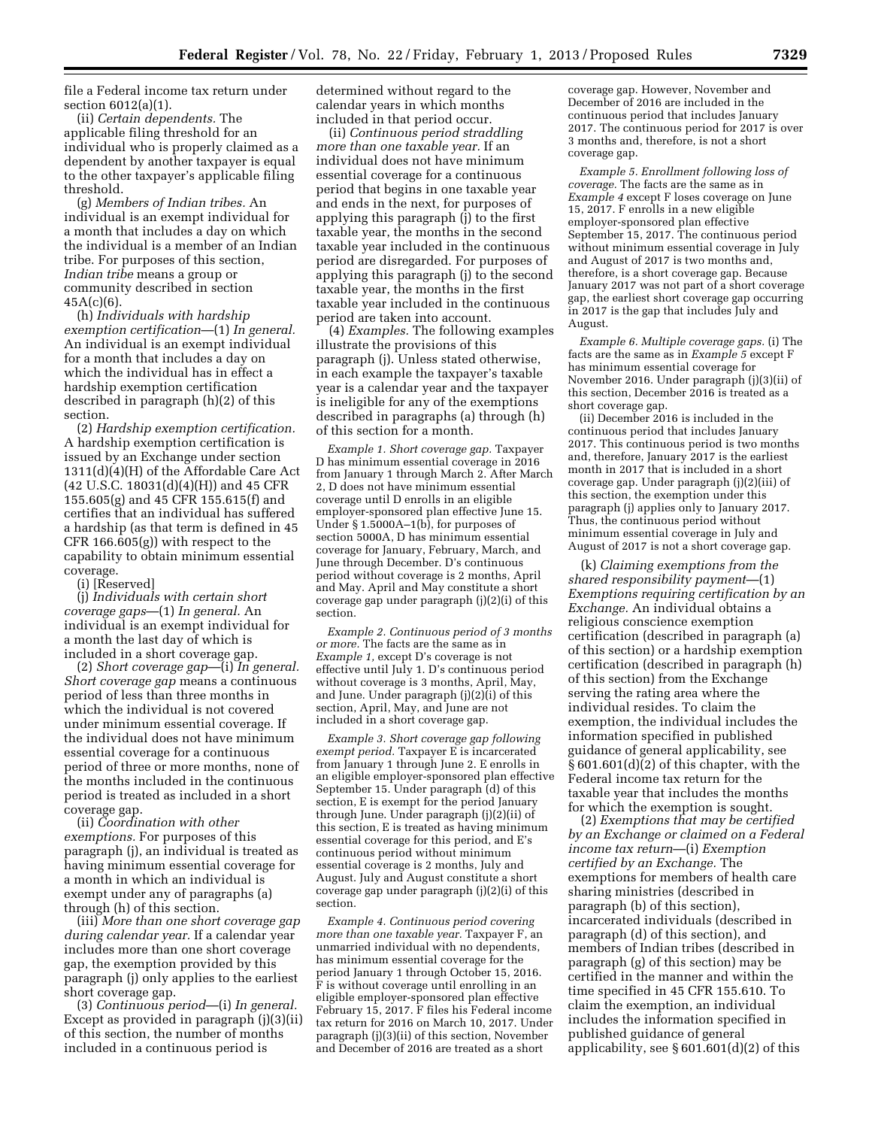file a Federal income tax return under section 6012(a)(1).

(ii) *Certain dependents.* The applicable filing threshold for an individual who is properly claimed as a dependent by another taxpayer is equal to the other taxpayer's applicable filing threshold.

(g) *Members of Indian tribes.* An individual is an exempt individual for a month that includes a day on which the individual is a member of an Indian tribe. For purposes of this section, *Indian tribe* means a group or community described in section  $45A(c)(6)$ .

(h) *Individuals with hardship exemption certification*—(1) *In general.*  An individual is an exempt individual for a month that includes a day on which the individual has in effect a hardship exemption certification described in paragraph (h)(2) of this section.

(2) *Hardship exemption certification.*  A hardship exemption certification is issued by an Exchange under section 1311(d)(4)(H) of the Affordable Care Act (42 U.S.C. 18031(d)(4)(H)) and 45 CFR 155.605(g) and 45 CFR 155.615(f) and certifies that an individual has suffered a hardship (as that term is defined in 45 CFR 166.605(g)) with respect to the capability to obtain minimum essential coverage.

(i) [Reserved]

(j) *Individuals with certain short coverage gaps*—(1) *In general.* An individual is an exempt individual for a month the last day of which is included in a short coverage gap.

(2) *Short coverage gap*—(i) *In general. Short coverage gap* means a continuous period of less than three months in which the individual is not covered under minimum essential coverage. If the individual does not have minimum essential coverage for a continuous period of three or more months, none of the months included in the continuous period is treated as included in a short coverage gap.

(ii) *Coordination with other exemptions.* For purposes of this paragraph (j), an individual is treated as having minimum essential coverage for a month in which an individual is exempt under any of paragraphs (a) through (h) of this section.

(iii) *More than one short coverage gap during calendar year.* If a calendar year includes more than one short coverage gap, the exemption provided by this paragraph (j) only applies to the earliest short coverage gap.

(3) *Continuous period*—(i) *In general.*  Except as provided in paragraph (j)(3)(ii) of this section, the number of months included in a continuous period is

determined without regard to the calendar years in which months included in that period occur.

(ii) *Continuous period straddling more than one taxable year.* If an individual does not have minimum essential coverage for a continuous period that begins in one taxable year and ends in the next, for purposes of applying this paragraph (j) to the first taxable year, the months in the second taxable year included in the continuous period are disregarded. For purposes of applying this paragraph (j) to the second taxable year, the months in the first taxable year included in the continuous period are taken into account.

(4) *Examples.* The following examples illustrate the provisions of this paragraph (j). Unless stated otherwise, in each example the taxpayer's taxable year is a calendar year and the taxpayer is ineligible for any of the exemptions described in paragraphs (a) through (h) of this section for a month.

*Example 1. Short coverage gap.* Taxpayer D has minimum essential coverage in 2016 from January 1 through March 2. After March 2, D does not have minimum essential coverage until D enrolls in an eligible employer-sponsored plan effective June 15. Under § 1.5000A–1(b), for purposes of section 5000A, D has minimum essential coverage for January, February, March, and June through December. D's continuous period without coverage is 2 months, April and May. April and May constitute a short coverage gap under paragraph (j)(2)(i) of this section.

*Example 2. Continuous period of 3 months or more.* The facts are the same as in *Example 1,* except D's coverage is not effective until July 1. D's continuous period without coverage is 3 months, April, May, and June. Under paragraph (j)(2)(i) of this section, April, May, and June are not included in a short coverage gap.

*Example 3. Short coverage gap following exempt period.* Taxpayer E is incarcerated from January 1 through June 2. E enrolls in an eligible employer-sponsored plan effective September 15. Under paragraph (d) of this section, E is exempt for the period January through June. Under paragraph (j)(2)(ii) of this section, E is treated as having minimum essential coverage for this period, and E's continuous period without minimum essential coverage is 2 months, July and August. July and August constitute a short coverage gap under paragraph (j)(2)(i) of this section.

*Example 4. Continuous period covering more than one taxable year.* Taxpayer F, an unmarried individual with no dependents, has minimum essential coverage for the period January 1 through October 15, 2016. F is without coverage until enrolling in an eligible employer-sponsored plan effective February 15, 2017. F files his Federal income tax return for 2016 on March 10, 2017. Under paragraph (j)(3)(ii) of this section, November and December of 2016 are treated as a short

coverage gap. However, November and December of 2016 are included in the continuous period that includes January 2017. The continuous period for 2017 is over 3 months and, therefore, is not a short coverage gap.

*Example 5. Enrollment following loss of coverage.* The facts are the same as in *Example 4* except F loses coverage on June 15, 2017. F enrolls in a new eligible employer-sponsored plan effective September 15, 2017. The continuous period without minimum essential coverage in July and August of 2017 is two months and, therefore, is a short coverage gap. Because January 2017 was not part of a short coverage gap, the earliest short coverage gap occurring in 2017 is the gap that includes July and August.

*Example 6. Multiple coverage gaps.* (i) The facts are the same as in *Example 5* except F has minimum essential coverage for November 2016. Under paragraph (j)(3)(ii) of this section, December 2016 is treated as a short coverage gap.

(ii) December 2016 is included in the continuous period that includes January 2017. This continuous period is two months and, therefore, January 2017 is the earliest month in 2017 that is included in a short coverage gap. Under paragraph (j)(2)(iii) of this section, the exemption under this paragraph (j) applies only to January 2017. Thus, the continuous period without minimum essential coverage in July and August of 2017 is not a short coverage gap.

(k) *Claiming exemptions from the shared responsibility payment*—(1) *Exemptions requiring certification by an Exchange.* An individual obtains a religious conscience exemption certification (described in paragraph (a) of this section) or a hardship exemption certification (described in paragraph (h) of this section) from the Exchange serving the rating area where the individual resides. To claim the exemption, the individual includes the information specified in published guidance of general applicability, see § 601.601(d)(2) of this chapter, with the Federal income tax return for the taxable year that includes the months for which the exemption is sought.

(2) *Exemptions that may be certified by an Exchange or claimed on a Federal income tax return*—(i) *Exemption certified by an Exchange.* The exemptions for members of health care sharing ministries (described in paragraph (b) of this section), incarcerated individuals (described in paragraph (d) of this section), and members of Indian tribes (described in paragraph (g) of this section) may be certified in the manner and within the time specified in 45 CFR 155.610. To claim the exemption, an individual includes the information specified in published guidance of general applicability, see § 601.601(d)(2) of this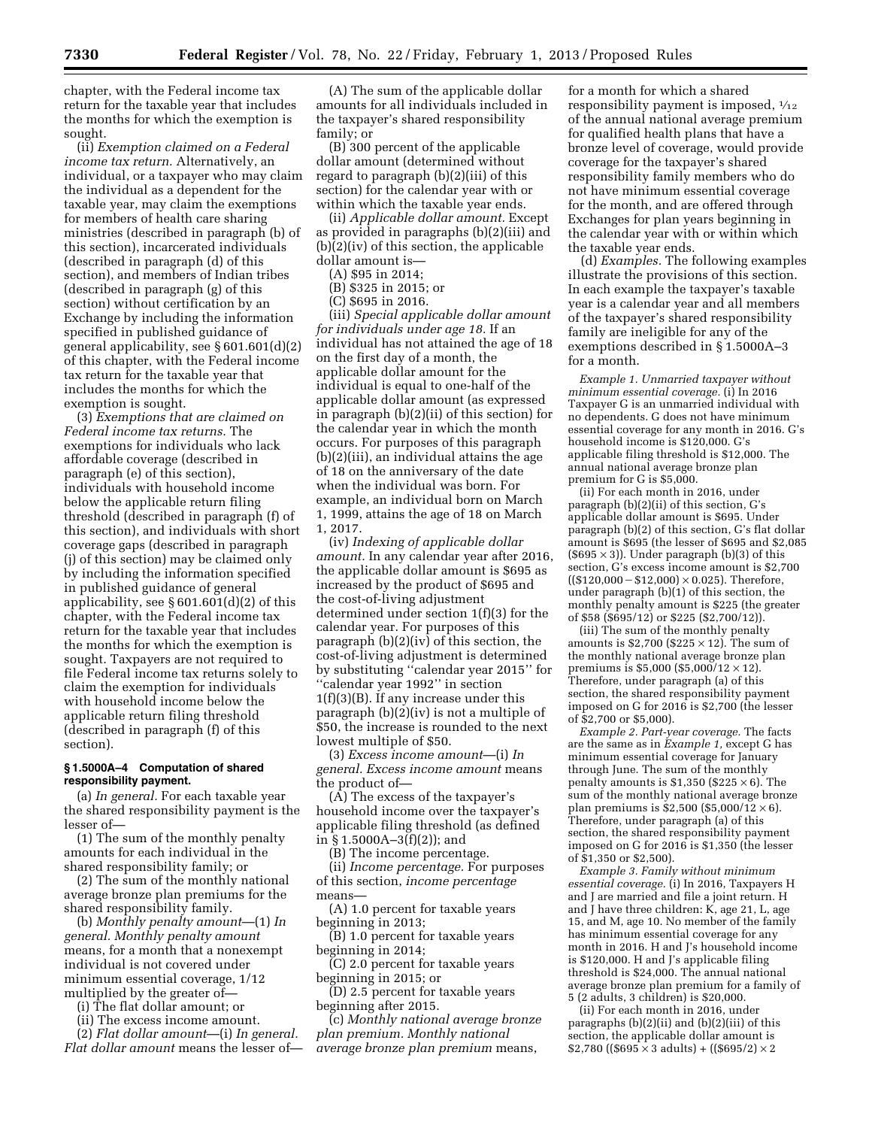chapter, with the Federal income tax return for the taxable year that includes the months for which the exemption is sought.

(ii) *Exemption claimed on a Federal income tax return.* Alternatively, an individual, or a taxpayer who may claim the individual as a dependent for the taxable year, may claim the exemptions for members of health care sharing ministries (described in paragraph (b) of this section), incarcerated individuals (described in paragraph (d) of this section), and members of Indian tribes (described in paragraph (g) of this section) without certification by an Exchange by including the information specified in published guidance of general applicability, see § 601.601(d)(2) of this chapter, with the Federal income tax return for the taxable year that includes the months for which the exemption is sought.

(3) *Exemptions that are claimed on Federal income tax returns.* The exemptions for individuals who lack affordable coverage (described in paragraph (e) of this section), individuals with household income below the applicable return filing threshold (described in paragraph (f) of this section), and individuals with short coverage gaps (described in paragraph (j) of this section) may be claimed only by including the information specified in published guidance of general applicability, see  $\S 601.601(d)(2)$  of this chapter, with the Federal income tax return for the taxable year that includes the months for which the exemption is sought. Taxpayers are not required to file Federal income tax returns solely to claim the exemption for individuals with household income below the applicable return filing threshold (described in paragraph (f) of this section).

### **§ 1.5000A–4 Computation of shared responsibility payment.**

(a) *In general.* For each taxable year the shared responsibility payment is the lesser of—

(1) The sum of the monthly penalty amounts for each individual in the shared responsibility family; or

(2) The sum of the monthly national average bronze plan premiums for the shared responsibility family.

(b) *Monthly penalty amount*—(1) *In general. Monthly penalty amount*  means, for a month that a nonexempt individual is not covered under minimum essential coverage, 1/12 multiplied by the greater of—

(i) The flat dollar amount; or

(ii) The excess income amount.

(2) *Flat dollar amount*—(i) *In general. Flat dollar amount* means the lesser of—

(A) The sum of the applicable dollar amounts for all individuals included in the taxpayer's shared responsibility family; or

(B) 300 percent of the applicable dollar amount (determined without regard to paragraph (b)(2)(iii) of this section) for the calendar year with or within which the taxable year ends.

(ii) *Applicable dollar amount.* Except as provided in paragraphs (b)(2)(iii) and (b)(2)(iv) of this section, the applicable dollar amount is—

(A) \$95 in 2014;

(B) \$325 in 2015; or

(C) \$695 in 2016.

(iii) *Special applicable dollar amount for individuals under age 18.* If an individual has not attained the age of 18 on the first day of a month, the applicable dollar amount for the individual is equal to one-half of the applicable dollar amount (as expressed in paragraph (b)(2)(ii) of this section) for the calendar year in which the month occurs. For purposes of this paragraph (b)(2)(iii), an individual attains the age of 18 on the anniversary of the date when the individual was born. For example, an individual born on March 1, 1999, attains the age of 18 on March 1, 2017.

(iv) *Indexing of applicable dollar amount.* In any calendar year after 2016, the applicable dollar amount is \$695 as increased by the product of \$695 and the cost-of-living adjustment determined under section 1(f)(3) for the calendar year. For purposes of this paragraph (b)(2)(iv) of this section, the cost-of-living adjustment is determined by substituting ''calendar year 2015'' for ''calendar year 1992'' in section 1(f)(3)(B). If any increase under this paragraph (b)(2)(iv) is not a multiple of \$50, the increase is rounded to the next lowest multiple of \$50.

(3) *Excess income amount*—(i) *In general. Excess income amount* means the product of—

(A) The excess of the taxpayer's household income over the taxpayer's applicable filing threshold (as defined in § 1.5000A–3(f)(2)); and

(B) The income percentage.

(ii) *Income percentage.* For purposes of this section, *income percentage*  means—

(A) 1.0 percent for taxable years beginning in 2013;

(B) 1.0 percent for taxable years beginning in 2014;

(C) 2.0 percent for taxable years beginning in 2015; or

(D) 2.5 percent for taxable years beginning after 2015.

(c) *Monthly national average bronze plan premium. Monthly national average bronze plan premium* means,

for a month for which a shared responsibility payment is imposed, 1⁄12 of the annual national average premium for qualified health plans that have a bronze level of coverage, would provide coverage for the taxpayer's shared responsibility family members who do not have minimum essential coverage for the month, and are offered through Exchanges for plan years beginning in the calendar year with or within which the taxable year ends.

(d) *Examples.* The following examples illustrate the provisions of this section. In each example the taxpayer's taxable year is a calendar year and all members of the taxpayer's shared responsibility family are ineligible for any of the exemptions described in § 1.5000A–3 for a month.

*Example 1. Unmarried taxpayer without minimum essential coverage.* (i) In 2016 Taxpayer G is an unmarried individual with no dependents. G does not have minimum essential coverage for any month in 2016. G's household income is \$120,000. G's applicable filing threshold is \$12,000. The annual national average bronze plan premium for G is \$5,000.

(ii) For each month in 2016, under paragraph (b)(2)(ii) of this section, G's applicable dollar amount is \$695. Under paragraph (b)(2) of this section, G's flat dollar amount is \$695 (the lesser of \$695 and \$2,085  $($695 \times 3)$ ). Under paragraph (b)(3) of this section, G's excess income amount is \$2,700  $((\$120,000 - \$12,000) \times 0.025)$ . Therefore, under paragraph (b)(1) of this section, the monthly penalty amount is \$225 (the greater of \$58 (\$695/12) or \$225 (\$2,700/12)).

(iii) The sum of the monthly penalty amounts is  $$2,700$  ( $$225 \times 12$ ). The sum of the monthly national average bronze plan premiums is \$5,000 (\$5,000/12  $\times$  12). Therefore, under paragraph (a) of this section, the shared responsibility payment imposed on G for  $2016$  is \$2,700 (the lesser of \$2,700 or \$5,000).

*Example 2. Part-year coverage.* The facts are the same as in *Example 1,* except G has minimum essential coverage for January through June. The sum of the monthly penalty amounts is \$1,350 (\$225  $\times$  6). The sum of the monthly national average bronze plan premiums is \$2,500 (\$5,000/12  $\times$  6). Therefore, under paragraph (a) of this section, the shared responsibility payment imposed on G for  $2016$  is \$1,350 (the lesser of \$1,350 or \$2,500).

*Example 3. Family without minimum essential coverage.* (i) In 2016, Taxpayers H and J are married and file a joint return. H and J have three children: K, age 21, L, age 15, and M, age 10. No member of the family has minimum essential coverage for any month in 2016. H and J's household income is \$120,000. H and J's applicable filing threshold is \$24,000. The annual national average bronze plan premium for a family of 5 (2 adults, 3 children) is \$20,000.

(ii) For each month in 2016, under paragraphs (b)(2)(ii) and (b)(2)(iii) of this section, the applicable dollar amount is \$2,780 ( $($695 \times 3$ adults) + (($695/2) \times 2$$